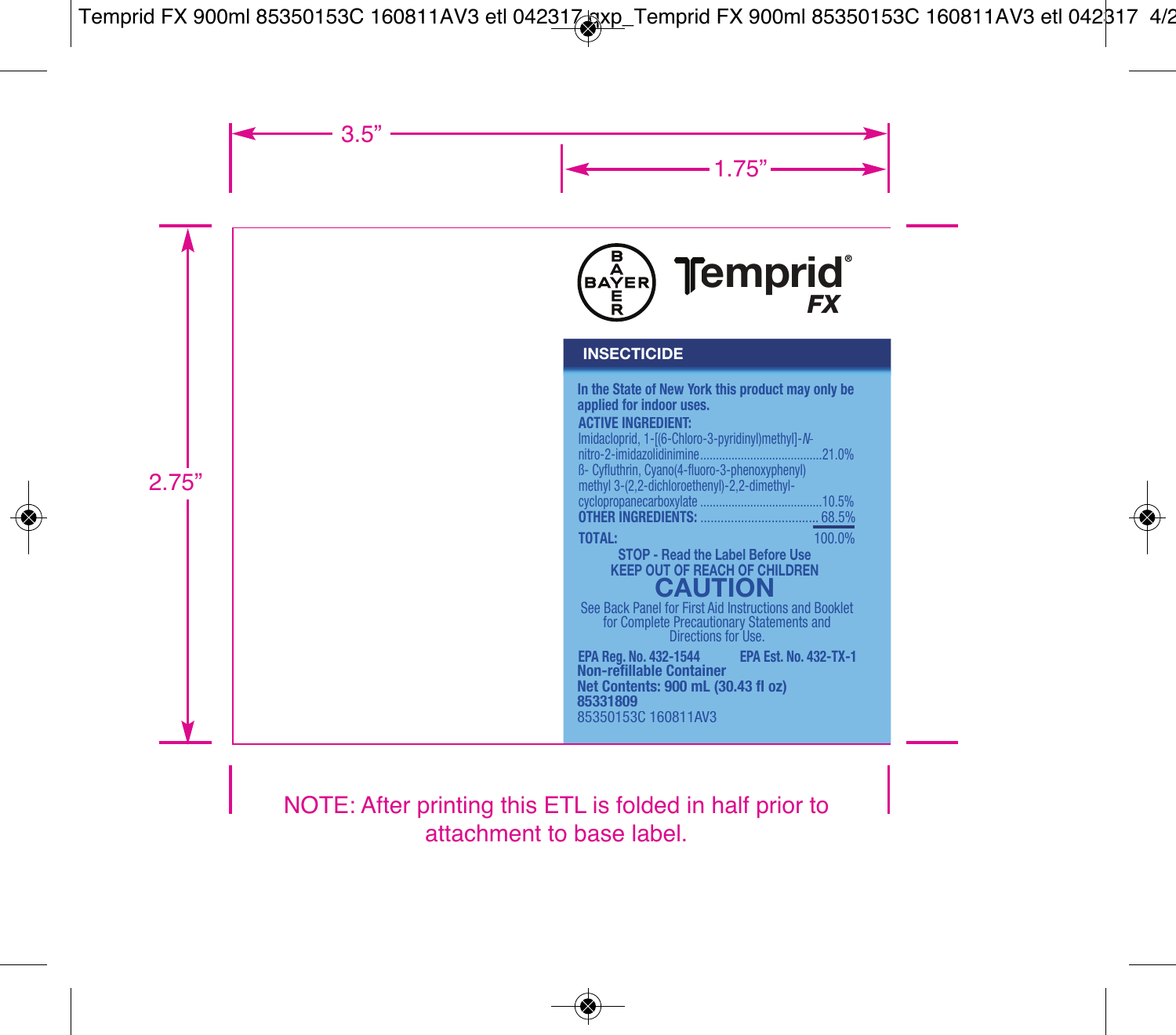

#### **INSECTICIDE**

| In the State of New York this product may only be |        |
|---------------------------------------------------|--------|
| applied for indoor uses.                          |        |
| <b>ACTIVE INGREDIENT:</b>                         |        |
| Imidacloprid, 1-[(6-Chloro-3-pyridinyl)methyl]-N- |        |
|                                                   | .21.0% |
| B- Cyfluthrin, Cyano(4-fluoro-3-phenoxyphenyl)    |        |
| methyl 3-(2,2-dichloroethenyl)-2,2-dimethyl-      |        |
|                                                   |        |
|                                                   |        |
| TOTAL:                                            | 100.0% |

# **KEEP OUT OF REACH OF CHILDREN STOP - Read the Label Before Use**

See Back Panel for First Aid Instructions and Booklet<br>for Complete Precautionary Statements and<br>Directions for Use. **See Back Panel for First Aid Instructions and Booklet** 

**EPA Reg. No . 432-1544 PA Est. No. 432-TX-1 EP** 85350153C 160811AV3 **85331809 Net Contents: 900 mL (30.43 fl oz) Non-refillable Container**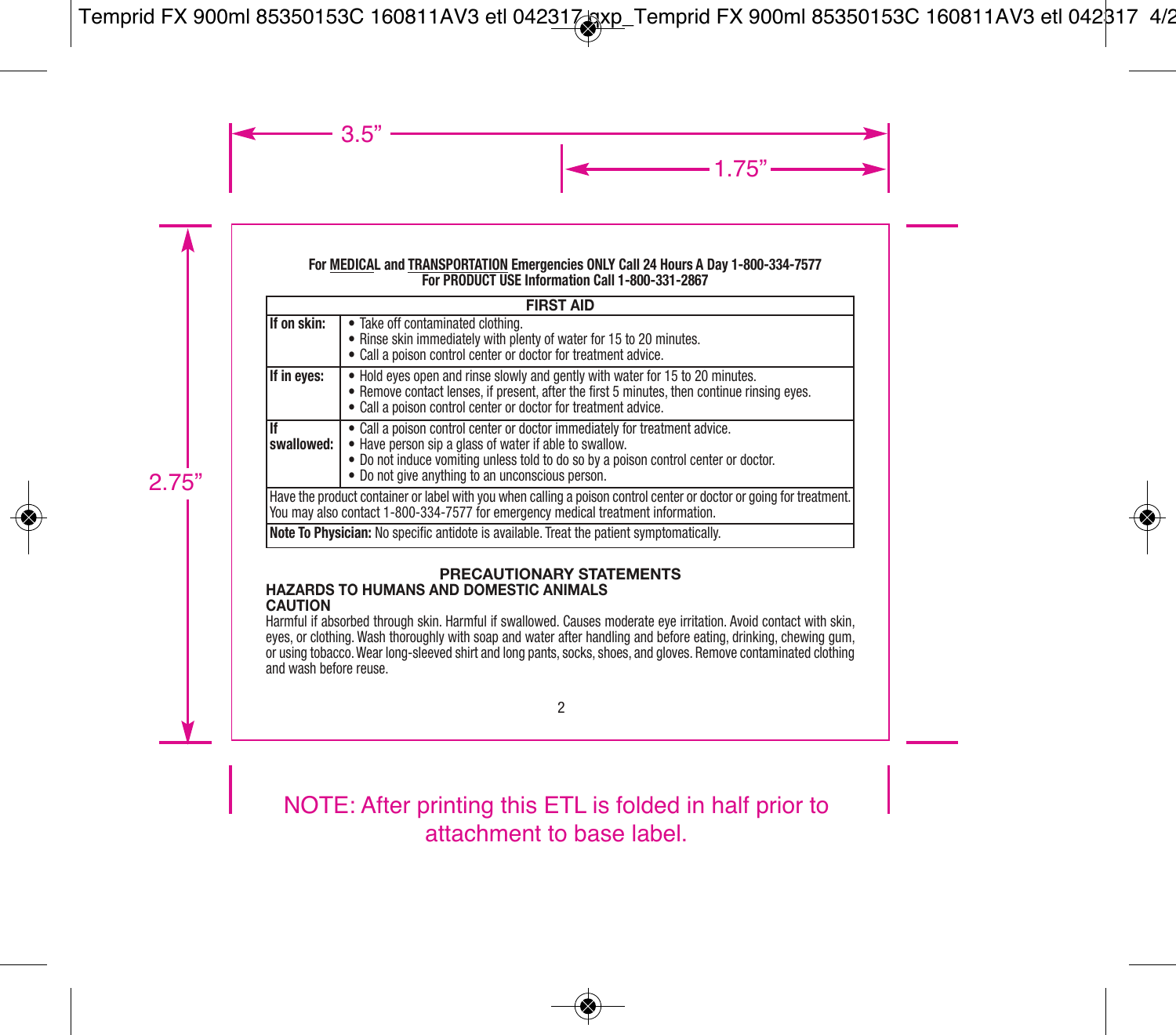#### **For MEDICAL and TRANSPORTATION Emergencies ONLY Call 24 Hours A Day 1-800-334-7577 For PRODUCT USE Information Call 1-800-331-2867**

|                                                                                                                                                                                                         | <b>FIRST AID</b>                                                                                                                                                                                                                                                                |  |
|---------------------------------------------------------------------------------------------------------------------------------------------------------------------------------------------------------|---------------------------------------------------------------------------------------------------------------------------------------------------------------------------------------------------------------------------------------------------------------------------------|--|
| If on skin:                                                                                                                                                                                             | • Take off contaminated clothing.<br>• Rinse skin immediately with plenty of water for 15 to 20 minutes.<br>• Call a poison control center or doctor for treatment advice.                                                                                                      |  |
| If in eyes:                                                                                                                                                                                             | • Hold eyes open and rinse slowly and gently with water for 15 to 20 minutes.<br>. Remove contact lenses, if present, after the first 5 minutes, then continue rinsing eyes.<br>• Call a poison control center or doctor for treatment advice.                                  |  |
| If<br>swallowed:                                                                                                                                                                                        | • Call a poison control center or doctor immediately for treatment advice.<br>. Have person sip a glass of water if able to swallow.<br>. Do not induce vomiting unless told to do so by a poison control center or doctor.<br>• Do not give anything to an unconscious person. |  |
| Have the product container or label with you when calling a poison control center or doctor or going for treatment.<br>You may also contact 1-800-334-7577 for emergency medical treatment information. |                                                                                                                                                                                                                                                                                 |  |
| Note To Physician: No specific antidote is available. Treat the patient symptomatically.                                                                                                                |                                                                                                                                                                                                                                                                                 |  |

#### **PRECAUTIONARY STATEMENTS HAZARDS TO HUMANS AND DOMESTIC ANIMALS**

#### **CAUTION**

Harmful if absorbed through skin. Harmful if swallowed. Causes moderate eye irritation. Avoid contact with skin, eyes, or clothing. Wash thoroughly with soap and water after handling and before eating, drinking, chewing gum, or using tobacco. Wear long-sleeved shirt and long pants, socks, shoes, and gloves. Remove contaminated clothing and wash before reuse.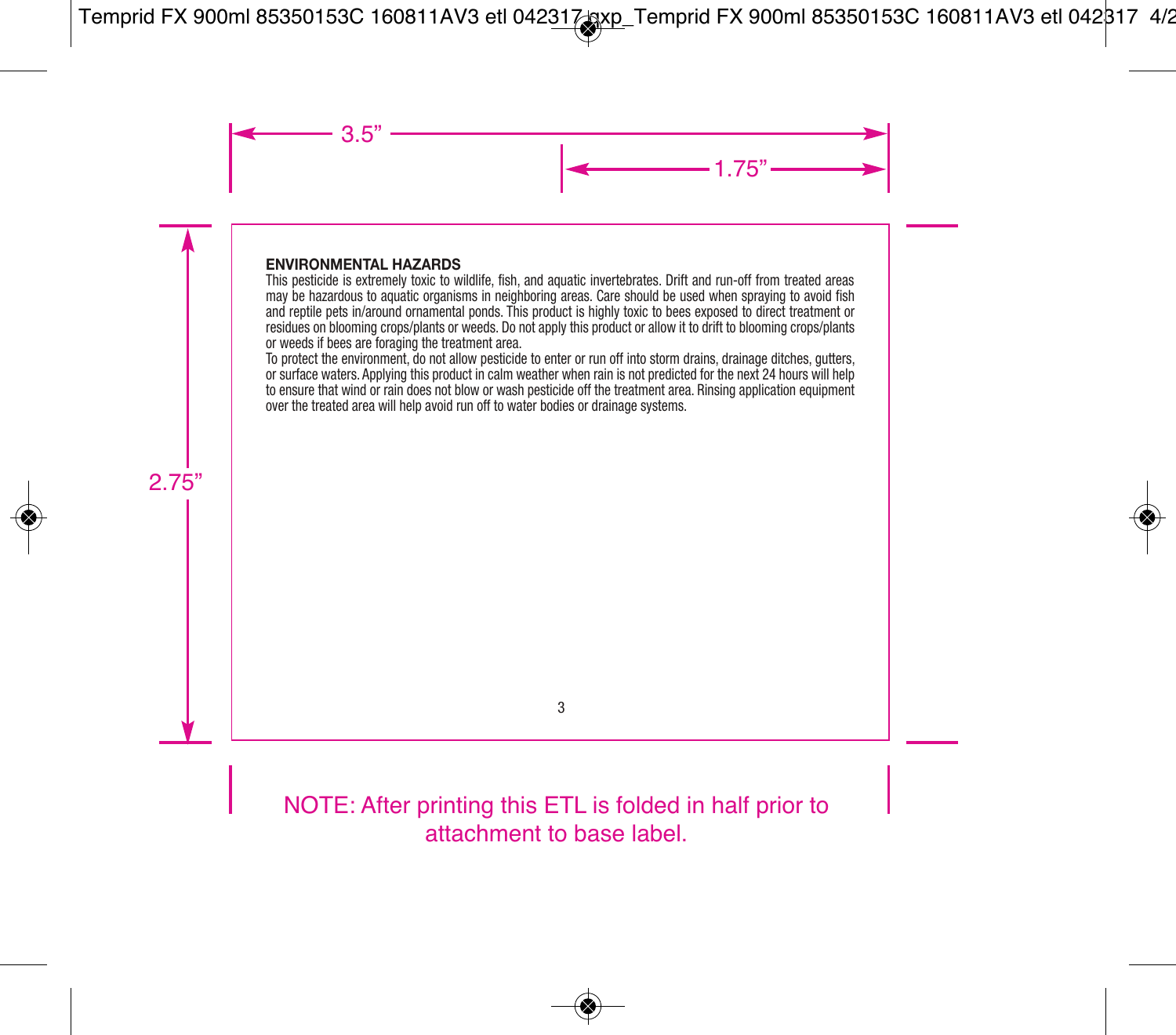#### **ENVIRONMENTAL HAZARDS**

This pesticide is extremely toxic to wildlife, fish, and aquatic invertebrates. Drift and run-off from treated areas may be hazardous to aquatic organisms in neighboring areas. Care should be used when spraying to avoid fish and reptile pets in/around ornamental ponds. This product is highly toxic to bees exposed to direct treatment or residues on blooming crops/plants or weeds. Do not apply this product or allow it to drift to blooming crops/plants or weeds if bees are foraging the treatment area.

To protect the environment, do not allow pesticide to enter or run off into storm drains, drainage ditches, gutters, or surface waters. Applying this product in calm weather when rain is not predicted for the next 24 hours will help to ensure that wind or rain does not blow or wash pesticide off the treatment area. Rinsing application equipment over the treated area will help avoid run off to water bodies or drainage systems.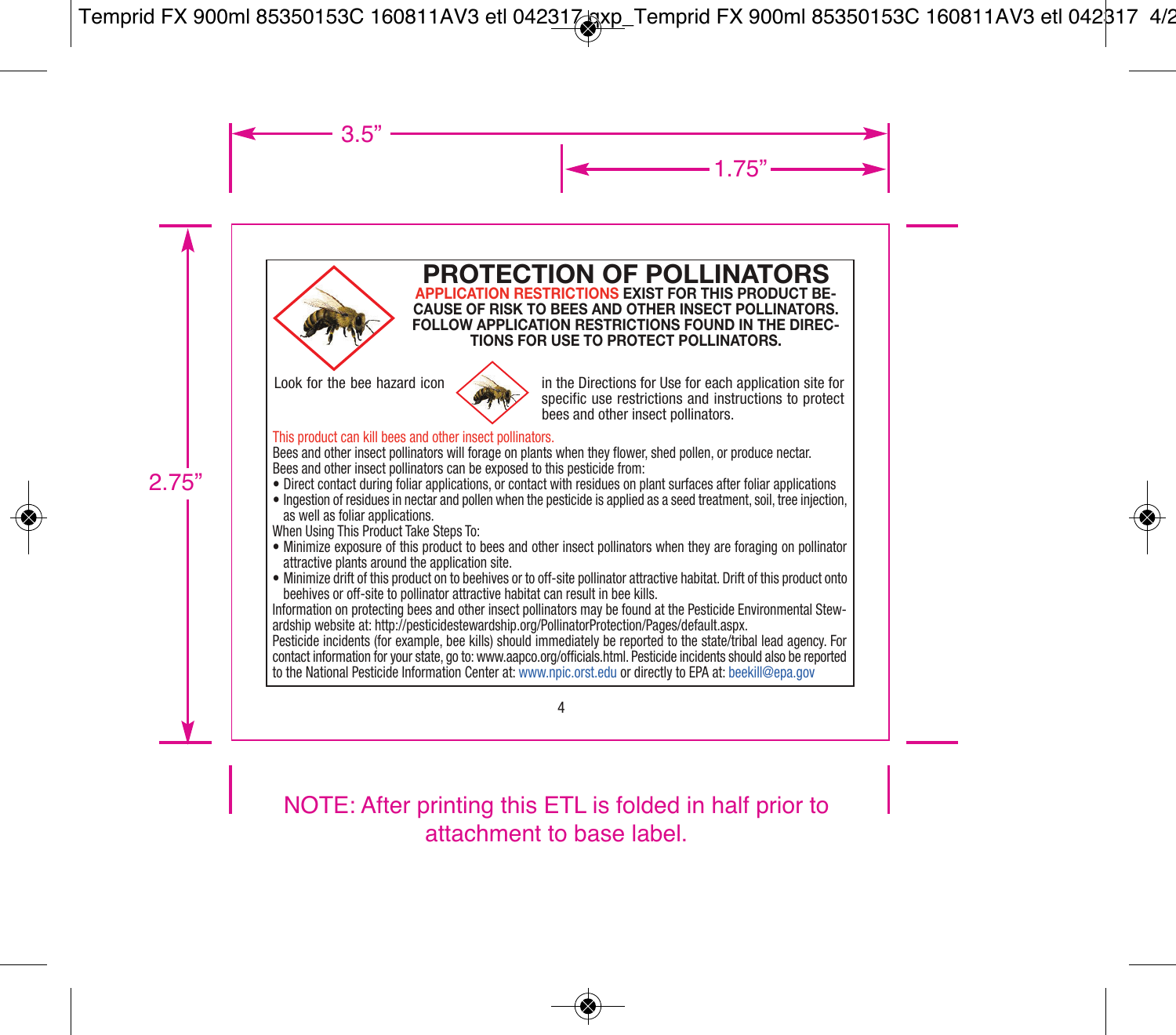

#### **PROTECTION OF POLLINATORS APPLICATION RESTRICTIONS EXIST FOR THIS PRODUCT BE-CAUSE OF RISK TO BEES AND OTHER INSECT POLLINATORS. FOLLOW APPLICATION RESTRICTIONS FOUND IN THE DIREC-TIONS FOR USE TO PROTECT POLLINATORS.**



Look for the bee hazard icon  $\sim$  in the Directions for Use for each application site for specific use restrictions and instructions to protect bees and other insect pollinators.

#### This product can kill bees and other insect pollinators.

Bees and other insect pollinators will forage on plants when they flower, shed pollen, or produce nectar. Bees and other insect pollinators can be exposed to this pesticide from:

- Direct contact during foliar applications, or contact with residues on plant surfaces after foliar applications
- Ingestion of residues in nectar and pollen when the pesticide is applied as a seed treatment, soil, tree injection, as well as foliar applications.

When Using This Product Take Steps To:

- Minimize exposure of this product to bees and other insect pollinators when they are foraging on pollinator attractive plants around the application site.
- Minimize drift of this product on to beehives or to off-site pollinator attractive habitat. Drift of this product onto beehives or off-site to pollinator attractive habitat can result in bee kills.

Information on protecting bees and other insect pollinators may be found at the Pesticide Environmental Stewardship website at: http://pesticidestewardship.org/PollinatorProtection/Pages/default.aspx.

Pesticide incidents (for example, bee kills) should immediately be reported to the state/tribal lead agency. For contact information for your state, go to: www.aapco.org/officials.html. Pesticide incidents should also be reported to the National Pesticide Information Center at: www.npic.orst.edu or directly to EPA at: beekill@epa.gov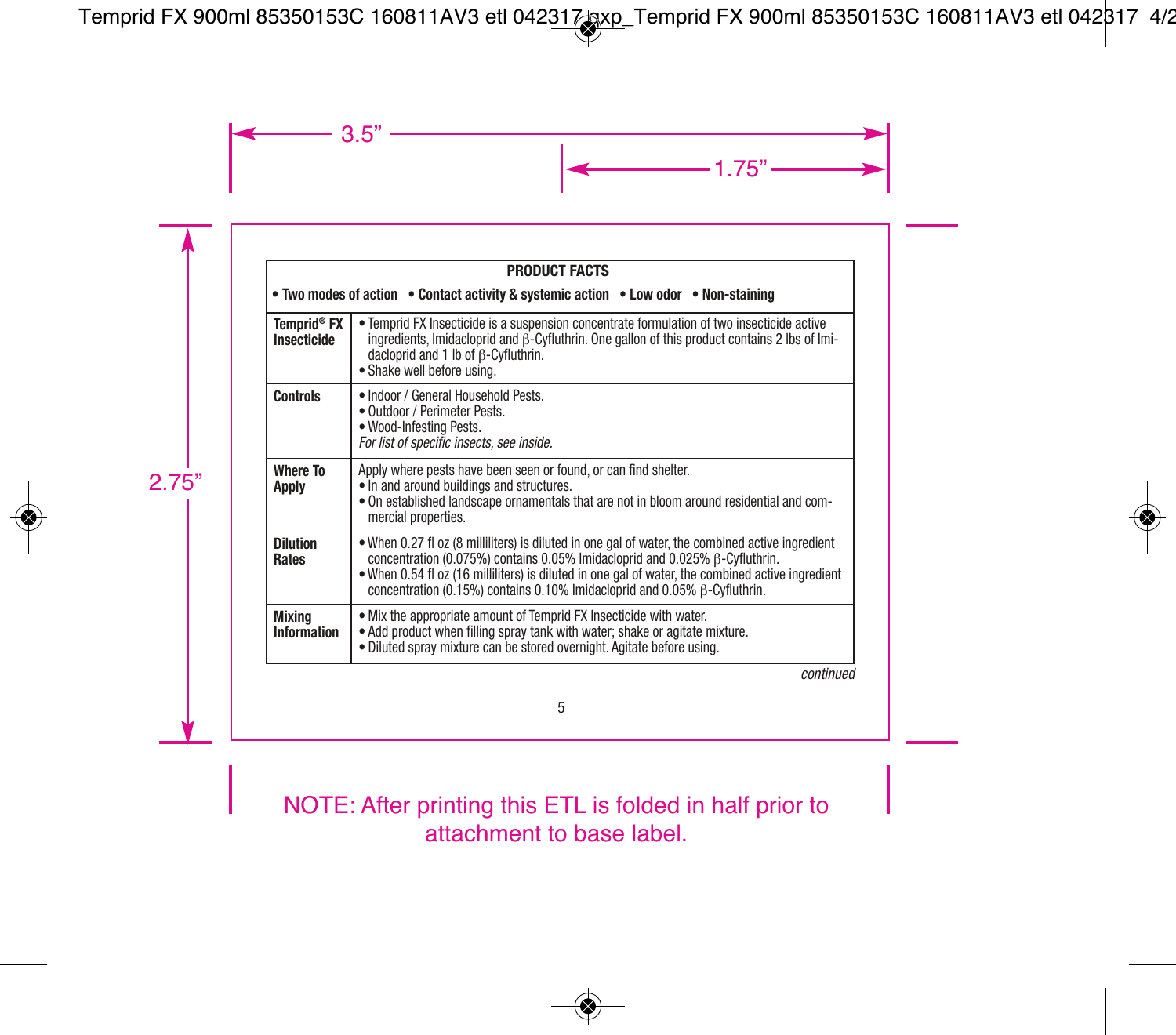|                                   | <b>PRODUCT FACTS</b>                                                                                                                                                                                                                                                                                                                                              |  |  |
|-----------------------------------|-------------------------------------------------------------------------------------------------------------------------------------------------------------------------------------------------------------------------------------------------------------------------------------------------------------------------------------------------------------------|--|--|
|                                   | • Two modes of action • Contact activity & systemic action • Low odor • Non-staining                                                                                                                                                                                                                                                                              |  |  |
| <b>Temprid® FX</b><br>Insecticide | • Temprid FX Insecticide is a suspension concentrate formulation of two insecticide active<br>ingredients, Imidacloprid and $\beta$ -Cyfluthrin. One gallon of this product contains 2 lbs of Imi-<br>dacloprid and 1 lb of ß-Cyfluthrin.<br>· Shake well before using.                                                                                           |  |  |
| <b>Controls</b>                   | · Indoor / General Household Pests.<br>· Outdoor / Perimeter Pests.<br>· Wood-Infesting Pests.<br>For list of specific insects, see inside,                                                                                                                                                                                                                       |  |  |
| Where To<br>Apply                 | Apply where pests have been seen or found, or can find shelter.<br>. In and around buildings and structures.<br>. On established landscape ornamentals that are not in bloom around residential and com-<br>mercial properties.                                                                                                                                   |  |  |
| <b>Dilution</b><br>Rates          | . When 0.27 fl oz (8 milliliters) is diluted in one gal of water, the combined active ingredient<br>concentration (0.075%) contains 0.05% Imidacloprid and 0.025% ß-Cyfluthrin.<br>. When 0.54 fl oz (16 milliliters) is diluted in one gal of water, the combined active ingredient<br>concentration (0.15%) contains 0.10% Imidacloprid and 0.05% B-Cyfluthrin. |  |  |
| Mixina<br><b>Information</b>      | . Mix the appropriate amount of Temprid FX Insecticide with water.<br>. Add product when filling spray tank with water; shake or agitate mixture.<br>· Diluted spray mixture can be stored overnight. Agitate before using.                                                                                                                                       |  |  |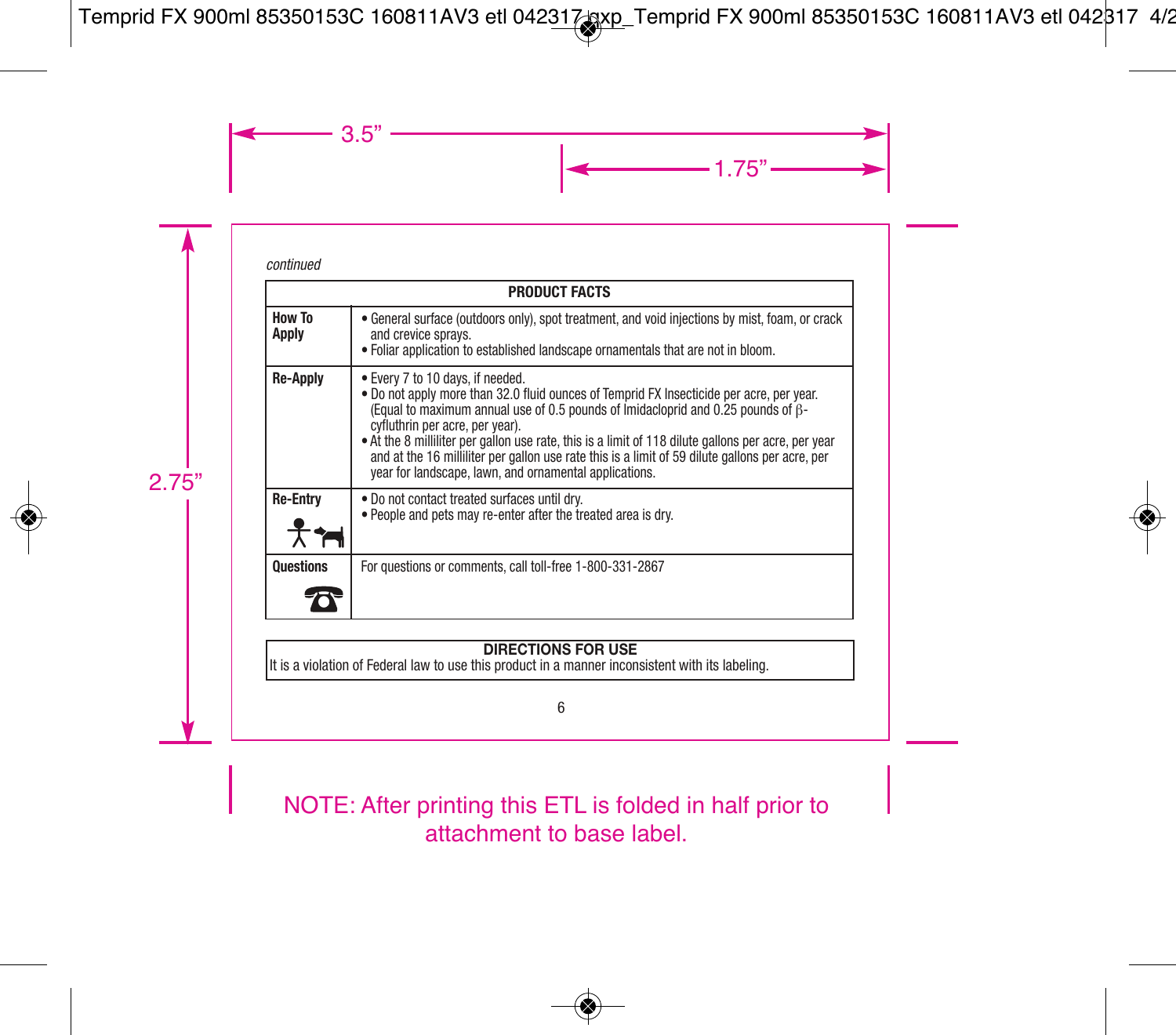#### *continued*

|                  | <b>PRODUCT FACTS</b>                                                                                                                                                                                                                                                                                                                                                                                                                                                                                                    |
|------------------|-------------------------------------------------------------------------------------------------------------------------------------------------------------------------------------------------------------------------------------------------------------------------------------------------------------------------------------------------------------------------------------------------------------------------------------------------------------------------------------------------------------------------|
| How To<br>Apply  | • General surface (outdoors only), spot treatment, and void injections by mist, foam, or crack<br>and crevice spravs.<br>. Foliar application to established landscape ornamentals that are not in bloom.                                                                                                                                                                                                                                                                                                               |
| Re-Apply         | • Every 7 to 10 days, if needed.<br>. Do not apply more than 32.0 fluid ounces of Temprid FX Insecticide per acre, per year.<br>(Equal to maximum annual use of 0.5 pounds of Imidacloprid and 0.25 pounds of B-<br>cyfluthrin per acre, per year).<br>• At the 8 milliliter per gallon use rate, this is a limit of 118 dilute gallons per acre, per year<br>and at the 16 milliliter per gallon use rate this is a limit of 59 dilute gallons per acre, per<br>year for landscape, lawn, and ornamental applications. |
| <b>Re-Entry</b>  | . Do not contact treated surfaces until drv.<br>. People and pets may re-enter after the treated area is dry.                                                                                                                                                                                                                                                                                                                                                                                                           |
| <b>Questions</b> | For questions or comments, call toll-free 1-800-331-2867                                                                                                                                                                                                                                                                                                                                                                                                                                                                |

## **DIRECTIONS FOR USE**

It is a violation of Federal law to use this product in a manner inconsistent with its labeling.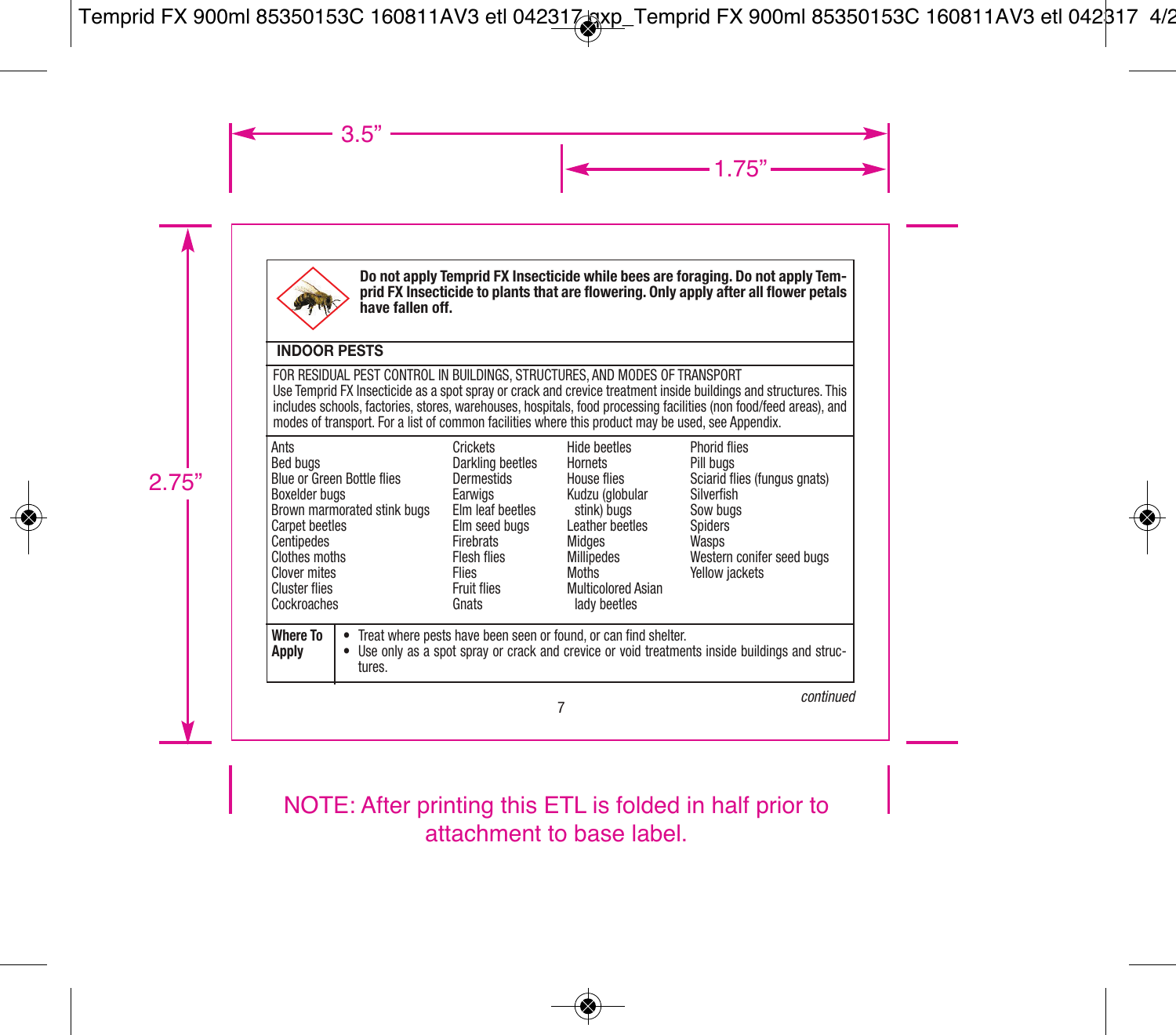

**Do not apply Temprid FX Insecticide while bees are foraging. Do not apply Temprid FX Insecticide to plants that are flowering. Only apply after all flower petals have fallen off.**

### **INDOOR PESTS**

FOR RESIDUAL PEST CONTROL IN BUILDINGS, STRUCTURES, AND MODES OF TRANSPORT Use Temprid FX Insecticide as a spot spray or crack and crevice treatment inside buildings and structures. This includes schools, factories, stores, warehouses, hospitals, food processing facilities (non food/feed areas), and modes of transport. For a list of common facilities where this product may be used, see Appendix.

| Ants<br>Bed buas<br>Boxelder buas<br>Carpet beetles<br>l Centipedes<br>Clothes moths<br>Clover mites<br>Cluster flies<br>Cockroaches | Blue or Green Bottle flies<br>Brown marmorated stink bugs | Crickets<br>Darkling beetles<br><b>Dermestids</b><br>Earwigs<br>Elm leaf beetles<br>Elm seed buas<br><b>Firebrats</b><br><b>Flesh flies</b><br><b>Flies</b><br>Fruit flies<br>Gnats | Hide beetles<br>Hornets<br>House flies<br>Kudzu (globular<br>stink) buas<br>Leather beetles<br>Midaes<br><b>Millipedes</b><br>Moths<br>Multicolored Asian<br>lady beetles | <b>Phorid flies</b><br>Pill buas<br>Sciarid flies (fungus gnats)<br>Silverfish<br>Sow bugs<br>Spiders<br>Wasps<br>Western conifer seed bugs<br>Yellow jackets |
|--------------------------------------------------------------------------------------------------------------------------------------|-----------------------------------------------------------|-------------------------------------------------------------------------------------------------------------------------------------------------------------------------------------|---------------------------------------------------------------------------------------------------------------------------------------------------------------------------|---------------------------------------------------------------------------------------------------------------------------------------------------------------|
| Where To<br><b>Apply</b>                                                                                                             | tures.                                                    |                                                                                                                                                                                     | • Treat where pests have been seen or found, or can find shelter.                                                                                                         | • Use only as a spot spray or crack and crevice or void treatments inside buildings and struc-                                                                |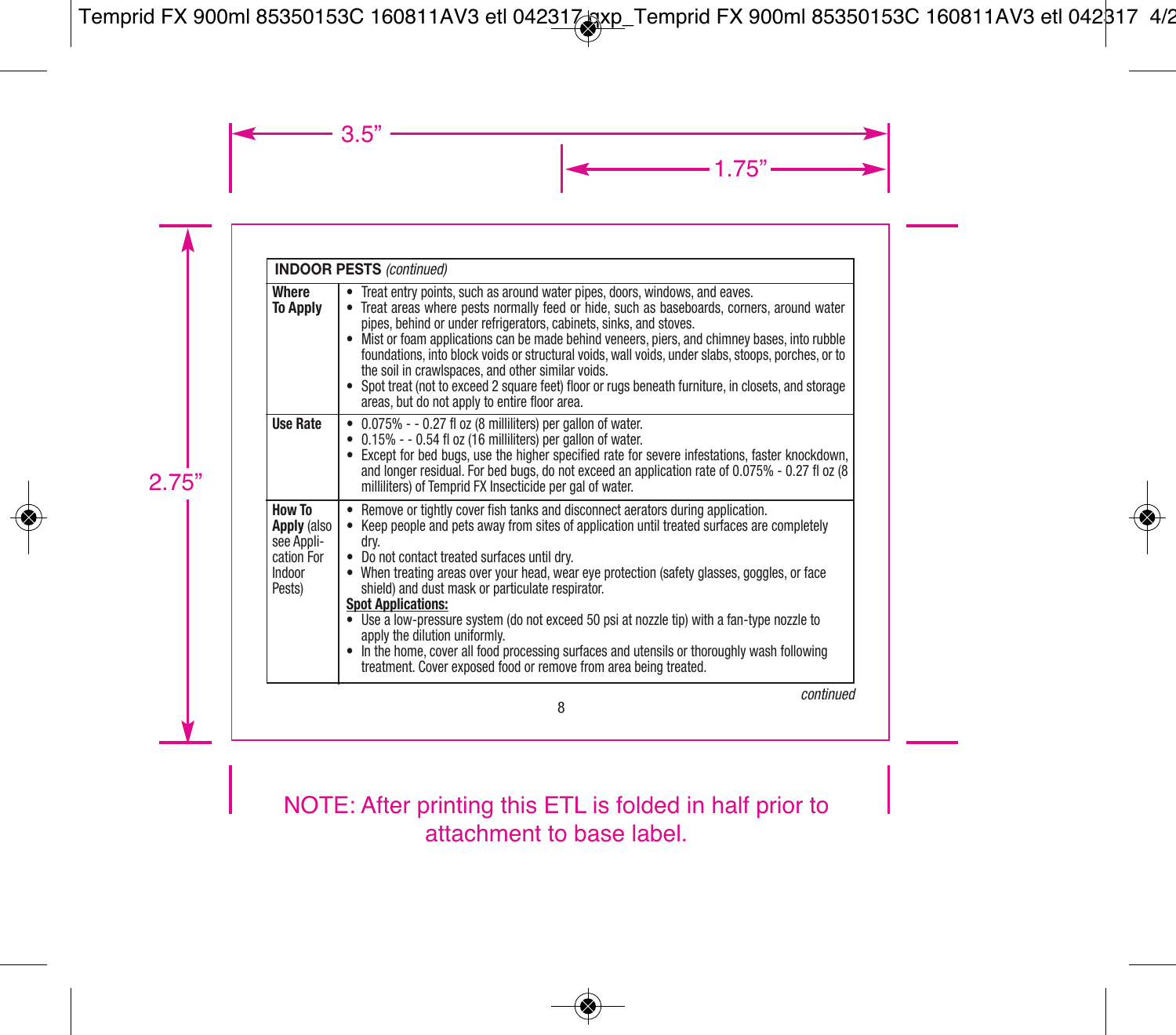|                                                                       | <b>INDOOR PESTS (continued)</b>                                                                                                                                                                                                                                                                                                                                                                                                                                                                                                                                                                                                                                                                                           |
|-----------------------------------------------------------------------|---------------------------------------------------------------------------------------------------------------------------------------------------------------------------------------------------------------------------------------------------------------------------------------------------------------------------------------------------------------------------------------------------------------------------------------------------------------------------------------------------------------------------------------------------------------------------------------------------------------------------------------------------------------------------------------------------------------------------|
| Where<br><b>To Apply</b>                                              | Treat entry points, such as around water pipes, doors, windows, and eaves.<br>• Treat areas where pests normally feed or hide, such as baseboards, corners, around water<br>pipes, behind or under refrigerators, cabinets, sinks, and stoves.<br>• Mist or foam applications can be made behind veneers, piers, and chimney bases, into rubble<br>foundations, into block voids or structural voids, wall voids, under slabs, stoops, porches, or to<br>the soil in crawlspaces, and other similar voids.<br>• Spot treat (not to exceed 2 square feet) floor or rugs beneath furniture, in closets, and storage<br>areas, but do not apply to entire floor area.                                                        |
| <b>Use Rate</b>                                                       | 0.075% - - 0.27 fl oz (8 milliliters) per gallon of water.<br>٠<br>$\bullet$ 0.15% - - 0.54 fl oz (16 milliliters) per gallon of water.<br>• Except for bed bugs, use the higher specified rate for severe infestations, faster knockdown,<br>and longer residual. For bed bugs, do not exceed an application rate of 0.075% - 0.27 fl oz (8<br>milliliters) of Temprid FX Insecticide per gal of water.                                                                                                                                                                                                                                                                                                                  |
| How To<br>Apply (also<br>see Appli-<br>cation For<br>Indoor<br>Pests) | • Remove or tightly cover fish tanks and disconnect aerators during application.<br>• Keep people and pets away from sites of application until treated surfaces are completely<br>dry.<br>• Do not contact treated surfaces until dry.<br>• When treating areas over your head, wear eye protection (safety glasses, goggles, or face<br>shield) and dust mask or particulate respirator.<br><b>Spot Applications:</b><br>• Use a low-pressure system (do not exceed 50 psi at nozzle tip) with a fan-type nozzle to<br>apply the dilution uniformly.<br>• In the home, cover all food processing surfaces and utensils or thoroughly wash following<br>treatment. Cover exposed food or remove from area being treated. |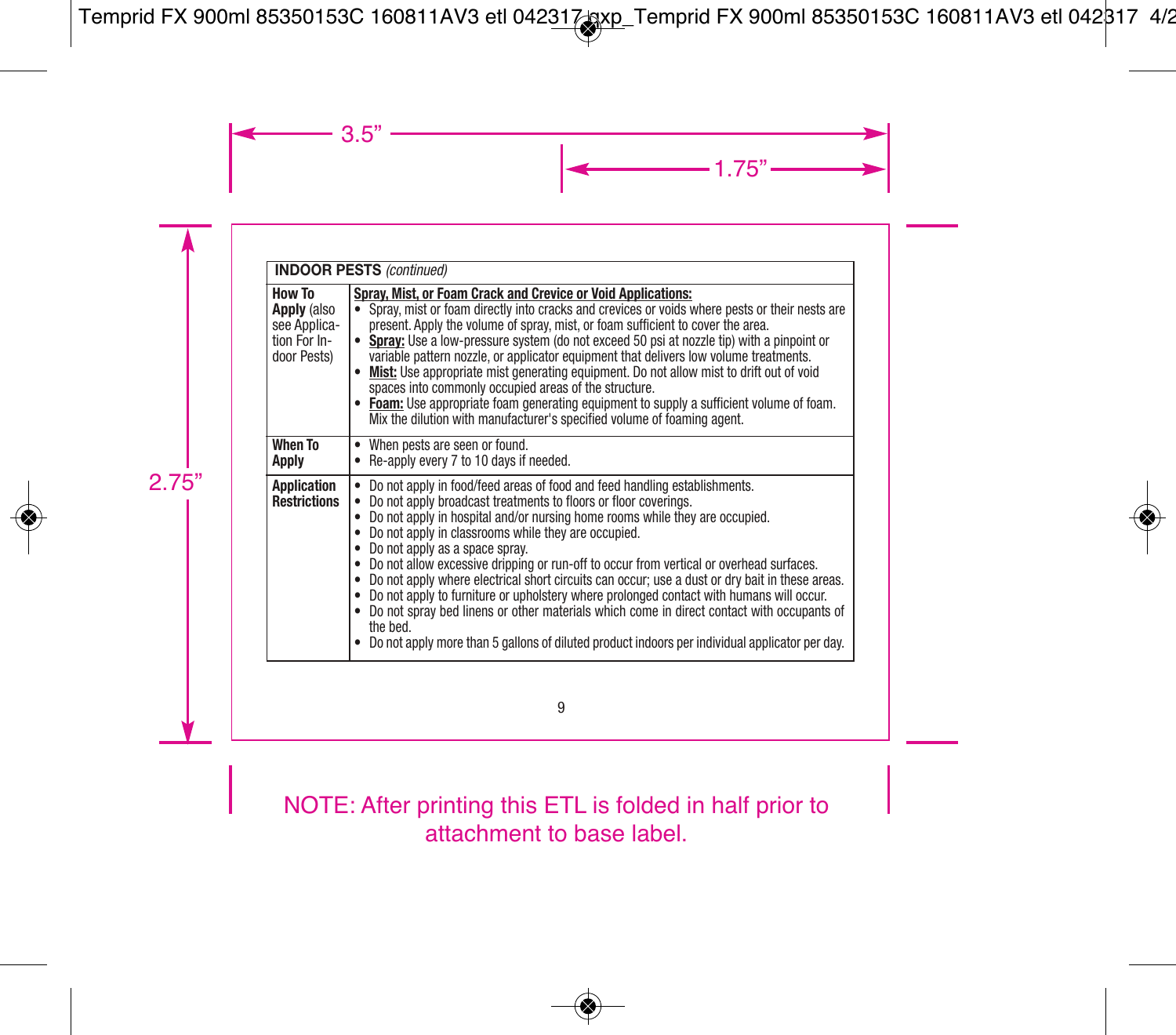|                                                                      | <b>INDOOR PESTS (continued)</b>                                                                                                                                                                                                                                                                                                                                                                                                                                                                                                                                                                                                                                                                                                                                                                                                         |
|----------------------------------------------------------------------|-----------------------------------------------------------------------------------------------------------------------------------------------------------------------------------------------------------------------------------------------------------------------------------------------------------------------------------------------------------------------------------------------------------------------------------------------------------------------------------------------------------------------------------------------------------------------------------------------------------------------------------------------------------------------------------------------------------------------------------------------------------------------------------------------------------------------------------------|
| How To<br>Apply (also<br>see Applica-<br>tion For In-<br>door Pests) | Spray, Mist, or Foam Crack and Crevice or Void Applications:<br>Spray, mist or foam directly into cracks and crevices or voids where pests or their nests are<br>present. Apply the volume of spray, mist, or foam sufficient to cover the area.<br>• Spray: Use a low-pressure system (do not exceed 50 psi at nozzle tip) with a pinpoint or<br>variable pattern nozzle, or applicator equipment that delivers low volume treatments.<br>• Mist: Use appropriate mist generating equipment. Do not allow mist to drift out of void<br>spaces into commonly occupied areas of the structure.<br>• Foam: Use appropriate foam generating equipment to supply a sufficient volume of foam.<br>Mix the dilution with manufacturer's specified volume of foaming agent.                                                                    |
| <b>When To</b><br>Apply                                              | • When pests are seen or found.<br>• Re-apply every 7 to 10 days if needed.                                                                                                                                                                                                                                                                                                                                                                                                                                                                                                                                                                                                                                                                                                                                                             |
| Application<br><b>Restrictions</b>                                   | Do not apply in food/feed areas of food and feed handling establishments.<br>Do not apply broadcast treatments to floors or floor coverings.<br>• Do not apply in hospital and/or nursing home rooms while they are occupied.<br>• Do not apply in classrooms while they are occupied.<br>• Do not apply as a space spray.<br>• Do not allow excessive dripping or run-off to occur from vertical or overhead surfaces.<br>• Do not apply where electrical short circuits can occur: use a dust or dry bait in these areas.<br>• Do not apply to furniture or upholstery where prolonged contact with humans will occur.<br>• Do not spray bed linens or other materials which come in direct contact with occupants of<br>the bed.<br>• Do not apply more than 5 gallons of diluted product indoors per individual applicator per day. |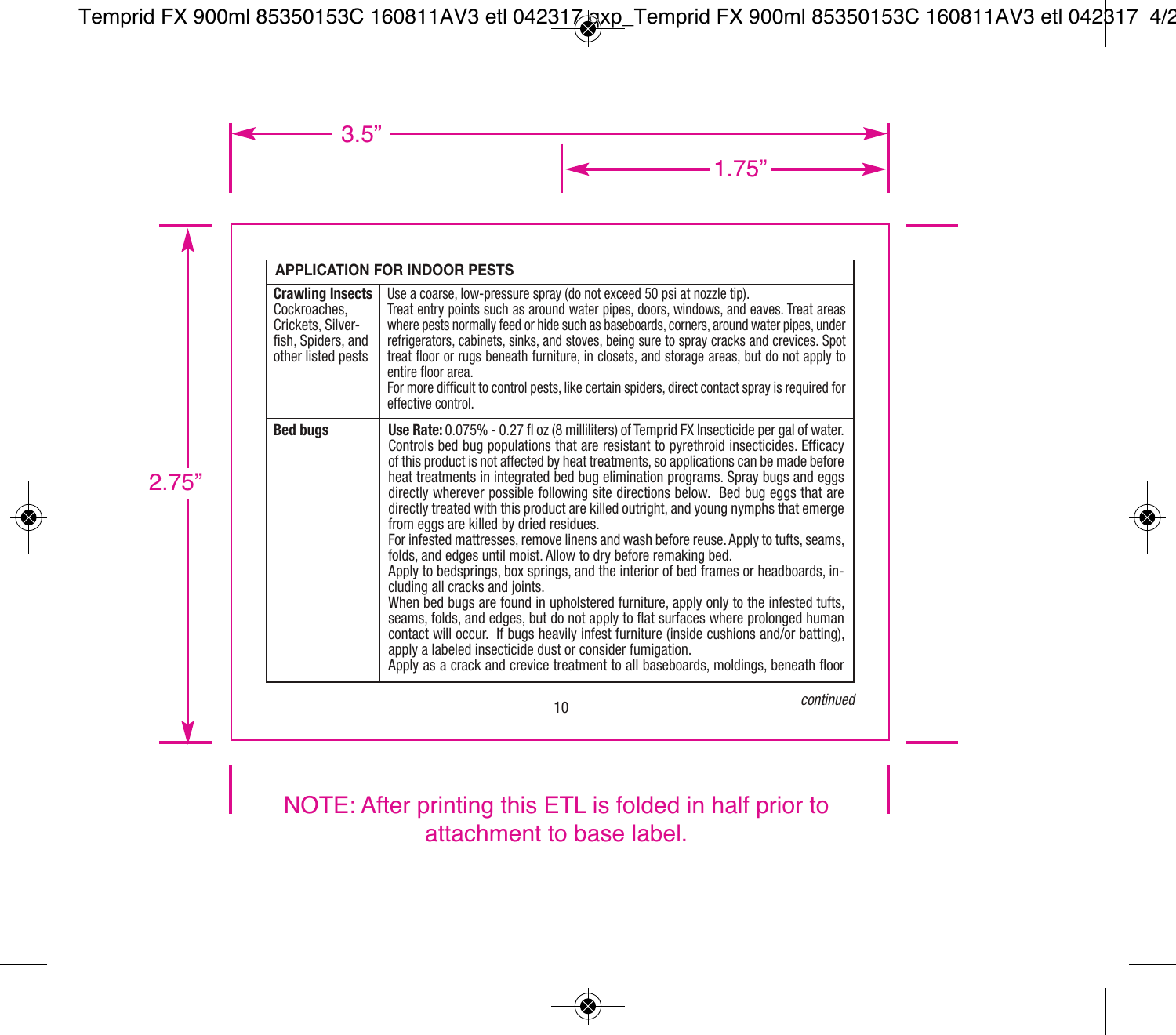|                                                                                                          | <b>APPLICATION FOR INDOOR PESTS</b>                                                                                                                                                                                                                                                                                                                                                                                                                                                                                                                                                                                                                                                                                                                                                                                                                                                                                                                                                                                                                                                                                                                                                                                                                                                              |
|----------------------------------------------------------------------------------------------------------|--------------------------------------------------------------------------------------------------------------------------------------------------------------------------------------------------------------------------------------------------------------------------------------------------------------------------------------------------------------------------------------------------------------------------------------------------------------------------------------------------------------------------------------------------------------------------------------------------------------------------------------------------------------------------------------------------------------------------------------------------------------------------------------------------------------------------------------------------------------------------------------------------------------------------------------------------------------------------------------------------------------------------------------------------------------------------------------------------------------------------------------------------------------------------------------------------------------------------------------------------------------------------------------------------|
| <b>Crawling Insects</b><br>Cockroaches.<br>Crickets, Silver-<br>fish, Spiders, and<br>other listed pests | Use a coarse, low-pressure spray (do not exceed 50 psi at nozzle tip).<br>Treat entry points such as around water pipes, doors, windows, and eaves. Treat areas<br>where pests normally feed or hide such as baseboards, corners, around water pipes, under<br>refrigerators, cabinets, sinks, and stoves, being sure to spray cracks and crevices. Spot<br>treat floor or rugs beneath furniture, in closets, and storage areas, but do not apply to<br>entire floor area.<br>For more difficult to control pests, like certain spiders, direct contact spray is required for<br>effective control.                                                                                                                                                                                                                                                                                                                                                                                                                                                                                                                                                                                                                                                                                             |
| <b>Bed bugs</b>                                                                                          | Use Rate: 0.075% - 0.27 fl oz (8 milliliters) of Temprid FX Insecticide per gal of water.<br>Controls bed bug populations that are resistant to pyrethroid insecticides. Efficacy<br>of this product is not affected by heat treatments, so applications can be made before<br>heat treatments in integrated bed bug elimination programs. Spray bugs and eggs<br>directly wherever possible following site directions below. Bed bug eggs that are<br>directly treated with this product are killed outright, and young nymphs that emerge<br>from eggs are killed by dried residues.<br>For infested mattresses, remove linens and wash before reuse. Apply to tufts, seams,<br>folds, and edges until moist. Allow to dry before remaking bed.<br>Apply to bedsprings, box springs, and the interior of bed frames or headboards, in-<br>cluding all cracks and joints.<br>When bed bugs are found in upholstered furniture, apply only to the infested tufts,<br>seams, folds, and edges, but do not apply to flat surfaces where prolonged human<br>contact will occur. If bugs heavily infest furniture (inside cushions and/or batting).<br>apply a labeled insecticide dust or consider fumigation.<br>Apply as a crack and crevice treatment to all baseboards, moldings, beneath floor |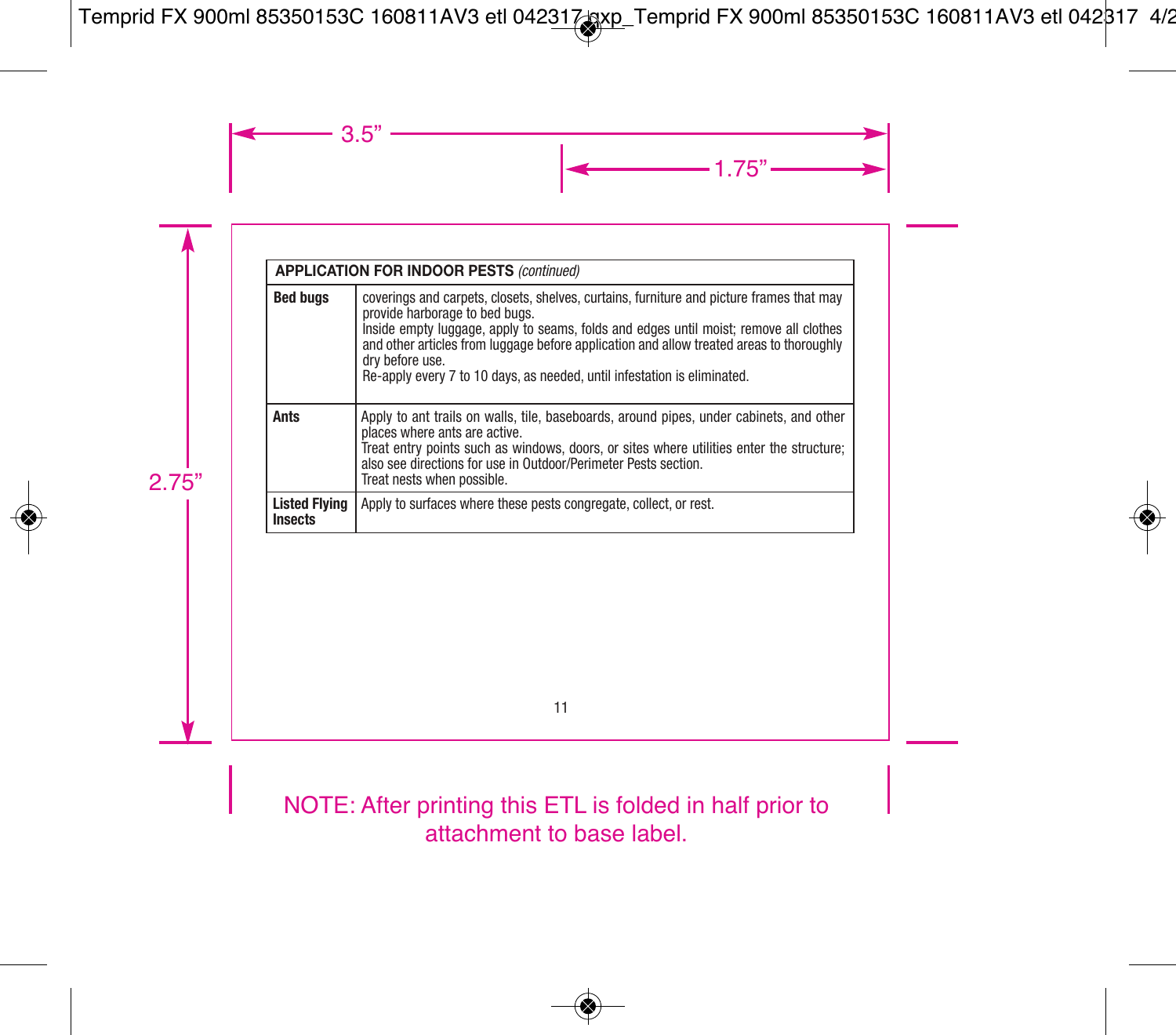|                                        | <b>APPLICATION FOR INDOOR PESTS (continued)</b>                                                                                                                                                                                                                                                                                                                                                                |
|----------------------------------------|----------------------------------------------------------------------------------------------------------------------------------------------------------------------------------------------------------------------------------------------------------------------------------------------------------------------------------------------------------------------------------------------------------------|
| <b>Bed buas</b>                        | coverings and carpets, closets, shelves, curtains, furniture and picture frames that may<br>provide harborage to bed bugs.<br>Inside empty luggage, apply to seams, folds and edges until moist; remove all clothes<br>and other articles from luggage before application and allow treated areas to thoroughly<br>dry before use.<br>Re-apply every 7 to 10 days, as needed, until infestation is eliminated. |
| Ants                                   | Apply to ant trails on walls, tile, baseboards, around pipes, under cabinets, and other<br>places where ants are active.<br>Treat entry points such as windows, doors, or sites where utilities enter the structure:<br>also see directions for use in Outdoor/Perimeter Pests section.<br>Treat nests when possible.                                                                                          |
| <b>Listed Flying</b><br><b>Insects</b> | Apply to surfaces where these pests congregate, collect, or rest.                                                                                                                                                                                                                                                                                                                                              |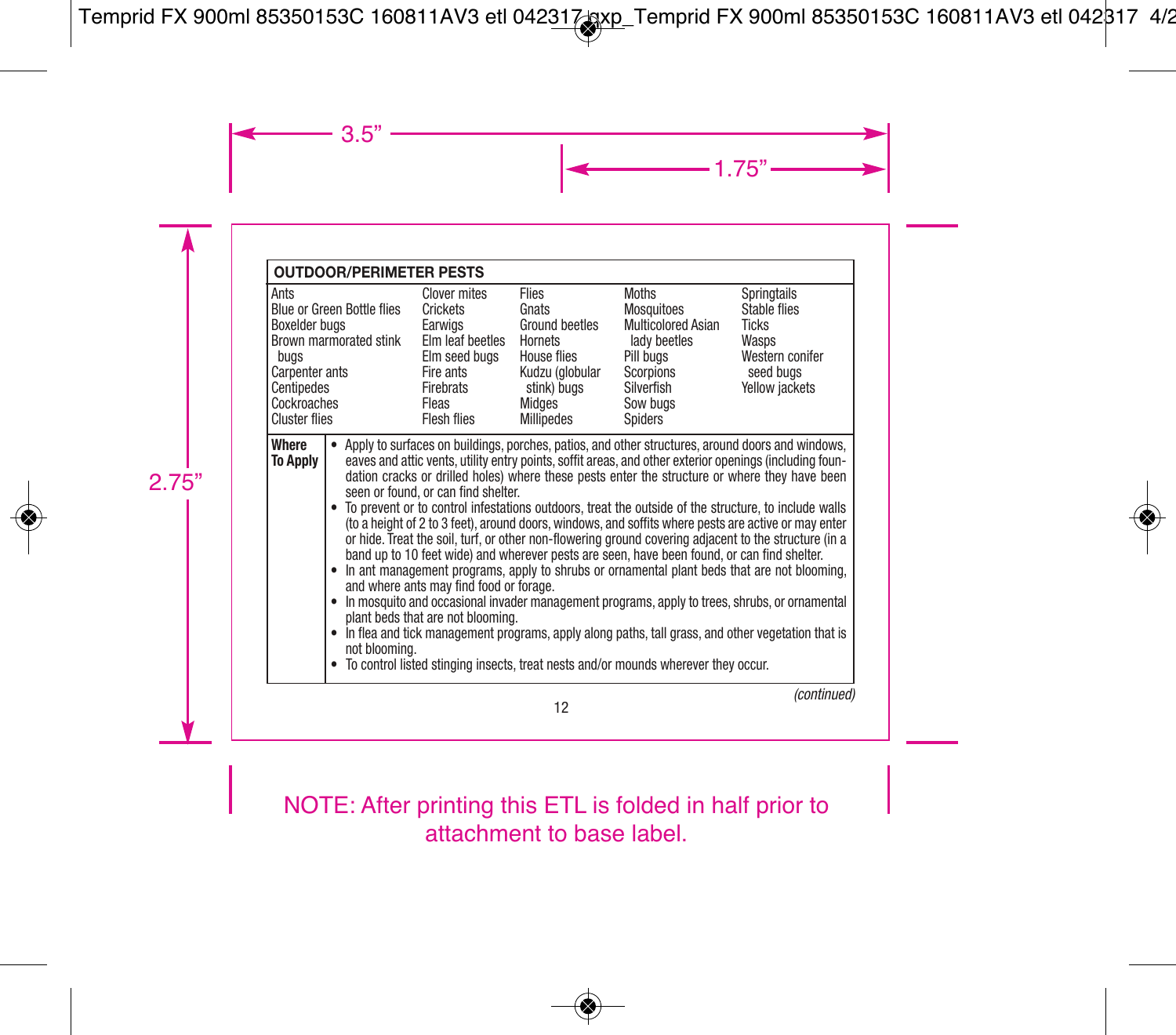| <b>OUTDOOR/PERIMETER PESTS</b>                                                                                                                                                                                                                                                                                                                                                                                                                                                                                                                                                                                                                                                                                                                                                                                                                                                                                                                                                                                                                                                                                                                                                                                                                                                                              |                                                                                                                            |                                                                                                                      |                                                                                                                                 |                                                                                                        |
|-------------------------------------------------------------------------------------------------------------------------------------------------------------------------------------------------------------------------------------------------------------------------------------------------------------------------------------------------------------------------------------------------------------------------------------------------------------------------------------------------------------------------------------------------------------------------------------------------------------------------------------------------------------------------------------------------------------------------------------------------------------------------------------------------------------------------------------------------------------------------------------------------------------------------------------------------------------------------------------------------------------------------------------------------------------------------------------------------------------------------------------------------------------------------------------------------------------------------------------------------------------------------------------------------------------|----------------------------------------------------------------------------------------------------------------------------|----------------------------------------------------------------------------------------------------------------------|---------------------------------------------------------------------------------------------------------------------------------|--------------------------------------------------------------------------------------------------------|
| Ants<br><b>Blue or Green Bottle flies</b><br>Boxelder bugs<br>Brown marmorated stink<br>bugs<br>Carpenter ants<br>Centipedes<br>Cockroaches<br><b>Cluster flies</b>                                                                                                                                                                                                                                                                                                                                                                                                                                                                                                                                                                                                                                                                                                                                                                                                                                                                                                                                                                                                                                                                                                                                         | Clover mites<br>Crickets<br>Earwigs<br>Elm leaf beetles<br>Elm seed bugs<br>Fire ants<br>Firebrats<br>Fleas<br>Flesh flies | Flies<br>Gnats<br>Ground beetles<br>Hornets<br>House flies<br>Kudzu (globular<br>stink) bugs<br>Midaes<br>Millipedes | <b>Moths</b><br>Mosquitoes<br>Multicolored Asian<br>lady beetles<br>Pill buas<br>Scorpions<br>Silverfish<br>Sow buas<br>Spiders | Springtails<br>Stable flies<br><b>Ticks</b><br>Wasps<br>Western conifer<br>seed bugs<br>Yellow jackets |
| Where<br>Apply to surfaces on buildings, porches, patios, and other structures, around doors and windows,<br><b>To Apply</b><br>eaves and attic vents, utility entry points, soffit areas, and other exterior openings (including foun-<br>dation cracks or drilled holes) where these pests enter the structure or where they have been<br>seen or found, or can find shelter.<br>• To prevent or to control infestations outdoors, treat the outside of the structure, to include walls<br>(to a height of 2 to 3 feet), around doors, windows, and soffits where pests are active or may enter<br>or hide. Treat the soil, turf, or other non-flowering ground covering adjacent to the structure (in a<br>band up to 10 feet wide) and wherever pests are seen, have been found, or can find shelter.<br>• In ant management programs, apply to shrubs or ornamental plant beds that are not blooming,<br>and where ants may find food or forage.<br>In mosquito and occasional invader management programs, apply to trees, shrubs, or ornamental<br>plant beds that are not blooming.<br>• In flea and tick management programs, apply along paths, tall grass, and other vegetation that is<br>not blooming.<br>• To control listed stinging insects, treat nests and/or mounds wherever they occur. |                                                                                                                            |                                                                                                                      |                                                                                                                                 |                                                                                                        |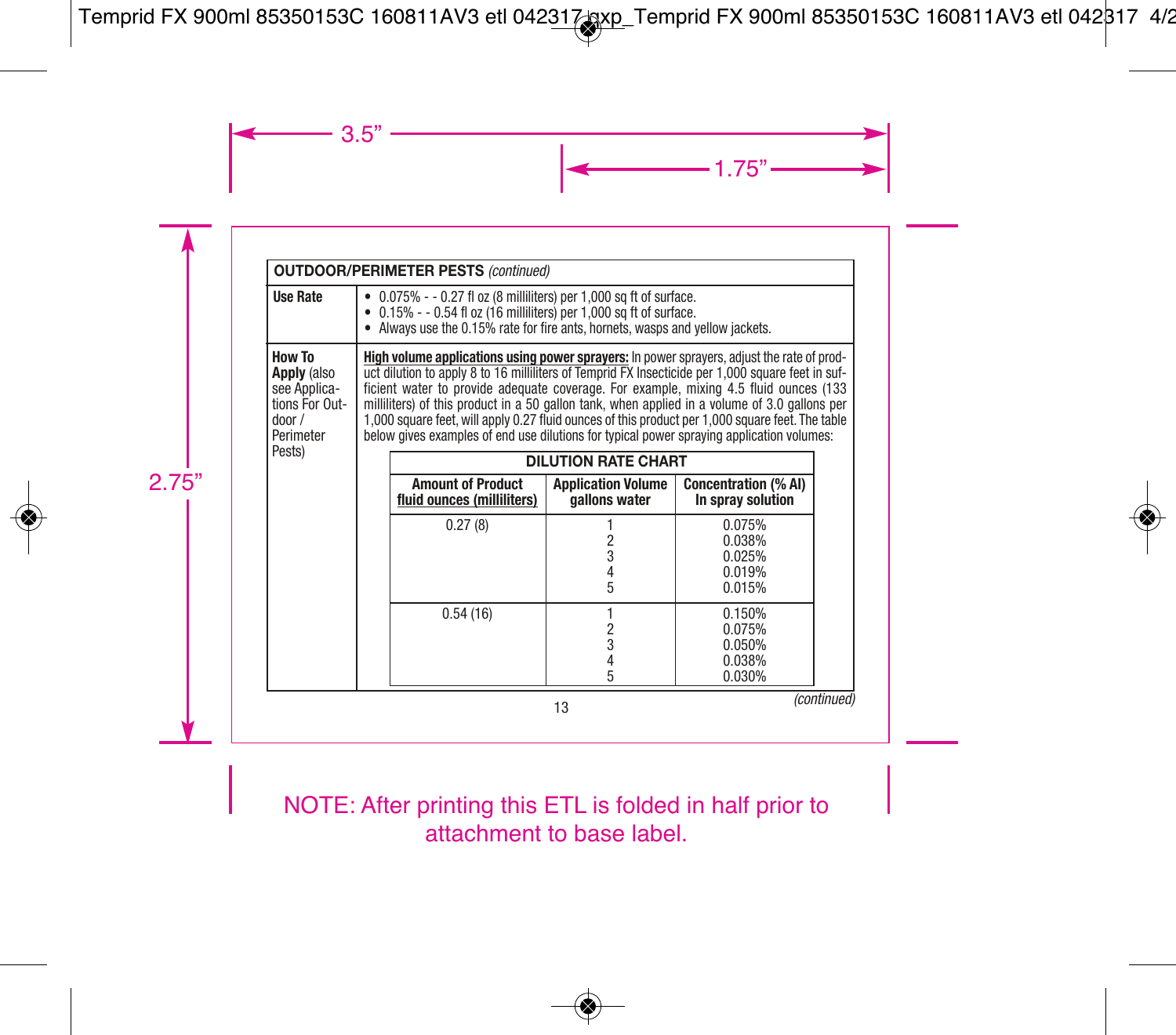| <b>OUTDOOR/PERIMETER PESTS (continued)</b>                                                  |                                                                                                                                                                                                                                                                                                                                                                                                                                                                                                                                                                                            |                                                                                                                                                                                                                                                   |                                            |                                                   |  |
|---------------------------------------------------------------------------------------------|--------------------------------------------------------------------------------------------------------------------------------------------------------------------------------------------------------------------------------------------------------------------------------------------------------------------------------------------------------------------------------------------------------------------------------------------------------------------------------------------------------------------------------------------------------------------------------------------|---------------------------------------------------------------------------------------------------------------------------------------------------------------------------------------------------------------------------------------------------|--------------------------------------------|---------------------------------------------------|--|
| <b>Use Rate</b>                                                                             |                                                                                                                                                                                                                                                                                                                                                                                                                                                                                                                                                                                            | $\bullet$ 0.075% - $\circ$ 0.27 fl oz (8 milliliters) per 1,000 sq ft of surface.<br>$\bullet$ 0.15% - - 0.54 fl oz (16 milliliters) per 1,000 sq ft of surface.<br>• Always use the 0.15% rate for fire ants, hornets, wasps and yellow jackets. |                                            |                                                   |  |
| <b>How To</b><br><b>Apply</b> (also<br>see Applica-<br>tions For Out-<br>door/<br>Perimeter | High volume applications using power sprayers: In power sprayers, adjust the rate of prod-<br>uct dilution to apply 8 to 16 milliliters of Temprid FX Insecticide per 1,000 square feet in suf-<br>ficient water to provide adequate coverage. For example, mixing 4.5 fluid ounces (133<br>milliliters) of this product in a 50 gallon tank, when applied in a volume of 3.0 gallons per<br>1,000 square feet, will apply 0.27 fluid ounces of this product per 1,000 square feet. The table<br>below gives examples of end use dilutions for typical power spraying application volumes: |                                                                                                                                                                                                                                                   |                                            |                                                   |  |
| Pests)                                                                                      |                                                                                                                                                                                                                                                                                                                                                                                                                                                                                                                                                                                            |                                                                                                                                                                                                                                                   | <b>DILUTION RATE CHART</b>                 |                                                   |  |
|                                                                                             |                                                                                                                                                                                                                                                                                                                                                                                                                                                                                                                                                                                            | <b>Amount of Product</b><br>fluid ounces (milliliters)                                                                                                                                                                                            | <b>Application Volume</b><br>gallons water | <b>Concentration (% AI)</b><br>In spray solution  |  |
|                                                                                             |                                                                                                                                                                                                                                                                                                                                                                                                                                                                                                                                                                                            | 0.27(8)                                                                                                                                                                                                                                           | 2<br>3<br>4<br>5                           | 0.075%<br>0.038%<br>0.025%<br>0.019%<br>0.015%    |  |
|                                                                                             |                                                                                                                                                                                                                                                                                                                                                                                                                                                                                                                                                                                            | 0.54(16)                                                                                                                                                                                                                                          | $\frac{2}{3}$<br>5                         | 0.150%<br>0.075%<br>0.050%<br>0.038%<br>$0.030\%$ |  |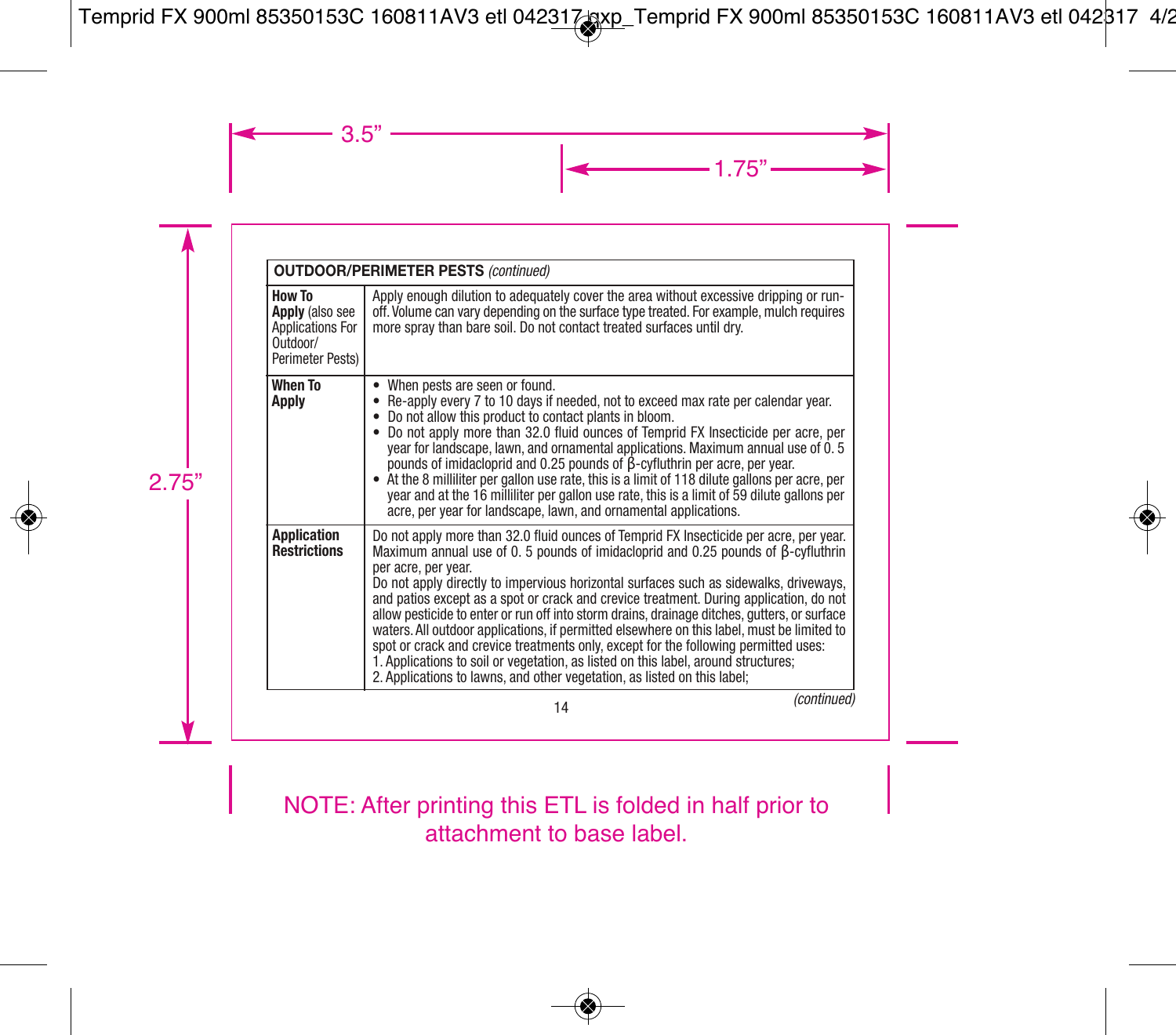|                                                                                             | <b>OUTDOOR/PERIMETER PESTS (continued)</b>                                                                                                                                                                                                                                                                                                                                                                                                                                                                                                                                                                                                                                                                                                                                                                                                  |
|---------------------------------------------------------------------------------------------|---------------------------------------------------------------------------------------------------------------------------------------------------------------------------------------------------------------------------------------------------------------------------------------------------------------------------------------------------------------------------------------------------------------------------------------------------------------------------------------------------------------------------------------------------------------------------------------------------------------------------------------------------------------------------------------------------------------------------------------------------------------------------------------------------------------------------------------------|
| How To<br><b>Apply</b> (also see<br><b>Applications For</b><br>Outdoor/<br>Perimeter Pests) | Apply enough dilution to adequately cover the area without excessive dripping or run-<br>off. Volume can vary depending on the surface type treated. For example, mulch requires<br>more spray than bare soil. Do not contact treated surfaces until dry.                                                                                                                                                                                                                                                                                                                                                                                                                                                                                                                                                                                   |
| <b>When To</b><br><b>Apply</b>                                                              | When pests are seen or found.<br>• Re-apply every 7 to 10 days if needed, not to exceed max rate per calendar year.<br>• Do not allow this product to contact plants in bloom.<br>Do not apply more than 32.0 fluid ounces of Temprid FX Insecticide per acre, per<br>year for landscape, lawn, and ornamental applications. Maximum annual use of 0.5<br>pounds of imidacloprid and 0.25 pounds of B-cyfluthrin per acre, per year.<br>• At the 8 milliliter per gallon use rate, this is a limit of 118 dilute gallons per acre, per<br>year and at the 16 milliliter per gallon use rate, this is a limit of 59 dilute gallons per<br>acre, per year for landscape, lawn, and ornamental applications.                                                                                                                                   |
| <b>Application</b><br><b>Restrictions</b>                                                   | Do not apply more than 32.0 fluid ounces of Temprid FX Insecticide per acre, per year.<br>Maximum annual use of 0.5 pounds of imidacloprid and 0.25 pounds of β-cyfluthrin<br>per acre, per year.<br>Do not apply directly to impervious horizontal surfaces such as sidewalks, driveways,<br>and patios except as a spot or crack and crevice treatment. During application, do not<br>allow pesticide to enter or run off into storm drains, drainage ditches, gutters, or surface<br>waters. All outdoor applications, if permitted elsewhere on this label, must be limited to<br>spot or crack and crevice treatments only, except for the following permitted uses:<br>1. Applications to soil or vegetation, as listed on this label, around structures;<br>2. Applications to lawns, and other vegetation, as listed on this label; |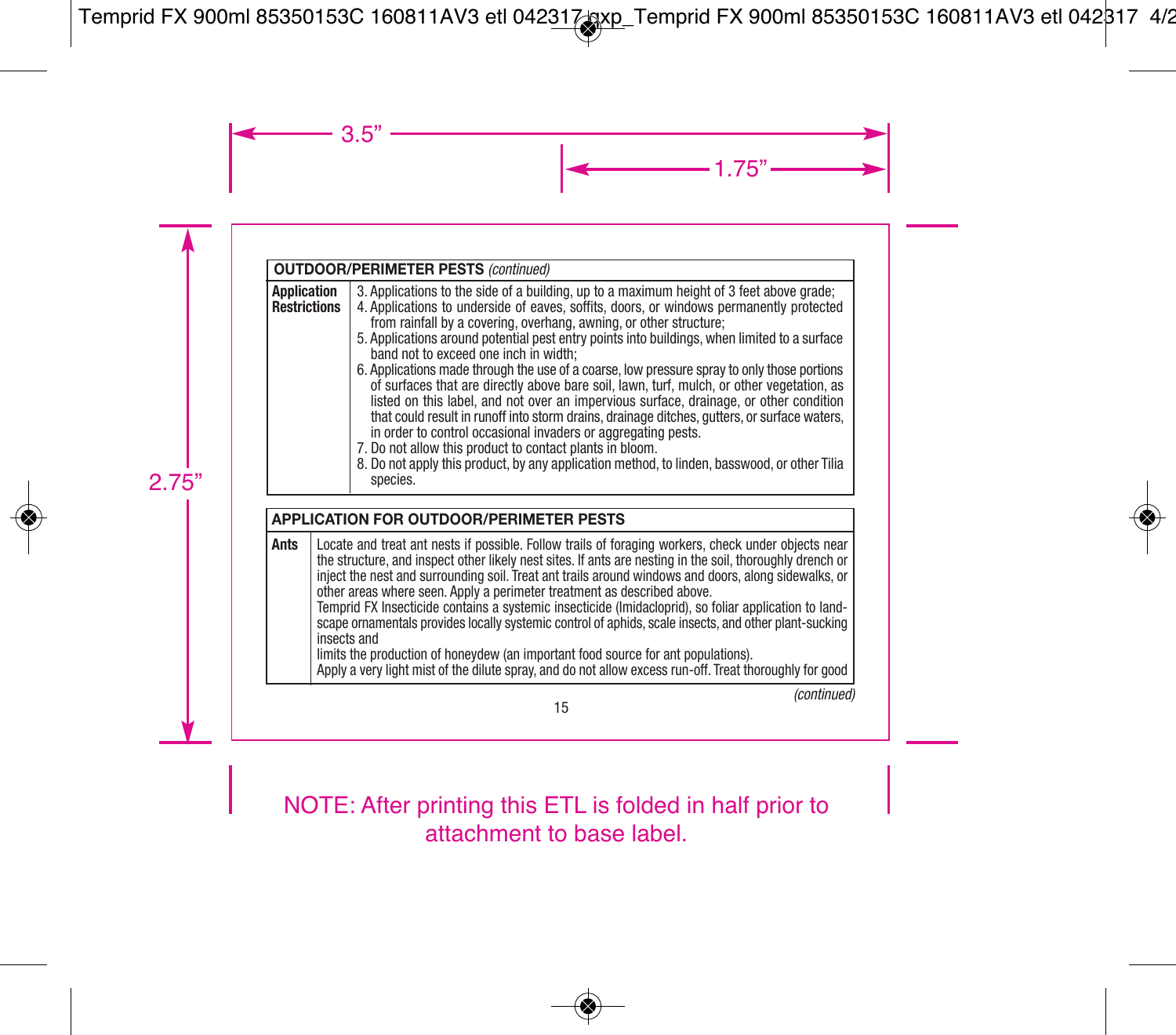| OUTDOOR/PERIMETER PESTS (continued) |                                                                                                                                                                                                                                                                                                                                                                                                                                                                                                                                                                                                                                                                                                                                                                                                                                                                                                                                                                                                                                   |
|-------------------------------------|-----------------------------------------------------------------------------------------------------------------------------------------------------------------------------------------------------------------------------------------------------------------------------------------------------------------------------------------------------------------------------------------------------------------------------------------------------------------------------------------------------------------------------------------------------------------------------------------------------------------------------------------------------------------------------------------------------------------------------------------------------------------------------------------------------------------------------------------------------------------------------------------------------------------------------------------------------------------------------------------------------------------------------------|
| Application<br><b>Restrictions</b>  | 3. Applications to the side of a building, up to a maximum height of 3 feet above grade;<br>4. Applications to underside of eaves, soffits, doors, or windows permanently protected<br>from rainfall by a covering, overhang, awning, or other structure:<br>5. Applications around potential pest entry points into buildings, when limited to a surface<br>band not to exceed one inch in width:<br>6. Applications made through the use of a coarse, low pressure spray to only those portions<br>of surfaces that are directly above bare soil, lawn, turf, mulch, or other vegetation, as<br>listed on this label, and not over an impervious surface, drainage, or other condition<br>that could result in runoff into storm drains, drainage ditches, gutters, or surface waters,<br>in order to control occasional invaders or aggregating pests.<br>7. Do not allow this product to contact plants in bloom.<br>8. Do not apply this product, by any application method, to linden, basswood, or other Tilia<br>species. |

|      | <b>APPLICATION FOR OUTDOOR/PERIMETER PESTS</b>                                                                                                                                                                                                                                                                                                                                                                                                                                                                                                                                                                                                                                                                                                                                                                                       |  |  |
|------|--------------------------------------------------------------------------------------------------------------------------------------------------------------------------------------------------------------------------------------------------------------------------------------------------------------------------------------------------------------------------------------------------------------------------------------------------------------------------------------------------------------------------------------------------------------------------------------------------------------------------------------------------------------------------------------------------------------------------------------------------------------------------------------------------------------------------------------|--|--|
| Ants | Locate and treat ant nests if possible. Follow trails of foraging workers, check under objects near<br>the structure, and inspect other likely nest sites. If ants are nesting in the soil, thoroughly drench or<br>inject the nest and surrounding soil. Treat ant trails around windows and doors, along sidewalks, or<br>other areas where seen. Apply a perimeter treatment as described above.<br>Temprid FX Insecticide contains a systemic insecticide (Imidacloprid), so foliar application to land-<br>scape ornamentals provides locally systemic control of aphids, scale insects, and other plant-sucking<br>insects and<br>limits the production of honeydew (an important food source for ant populations).<br>Apply a very light mist of the dilute spray, and do not allow excess run-off. Treat thoroughly for good |  |  |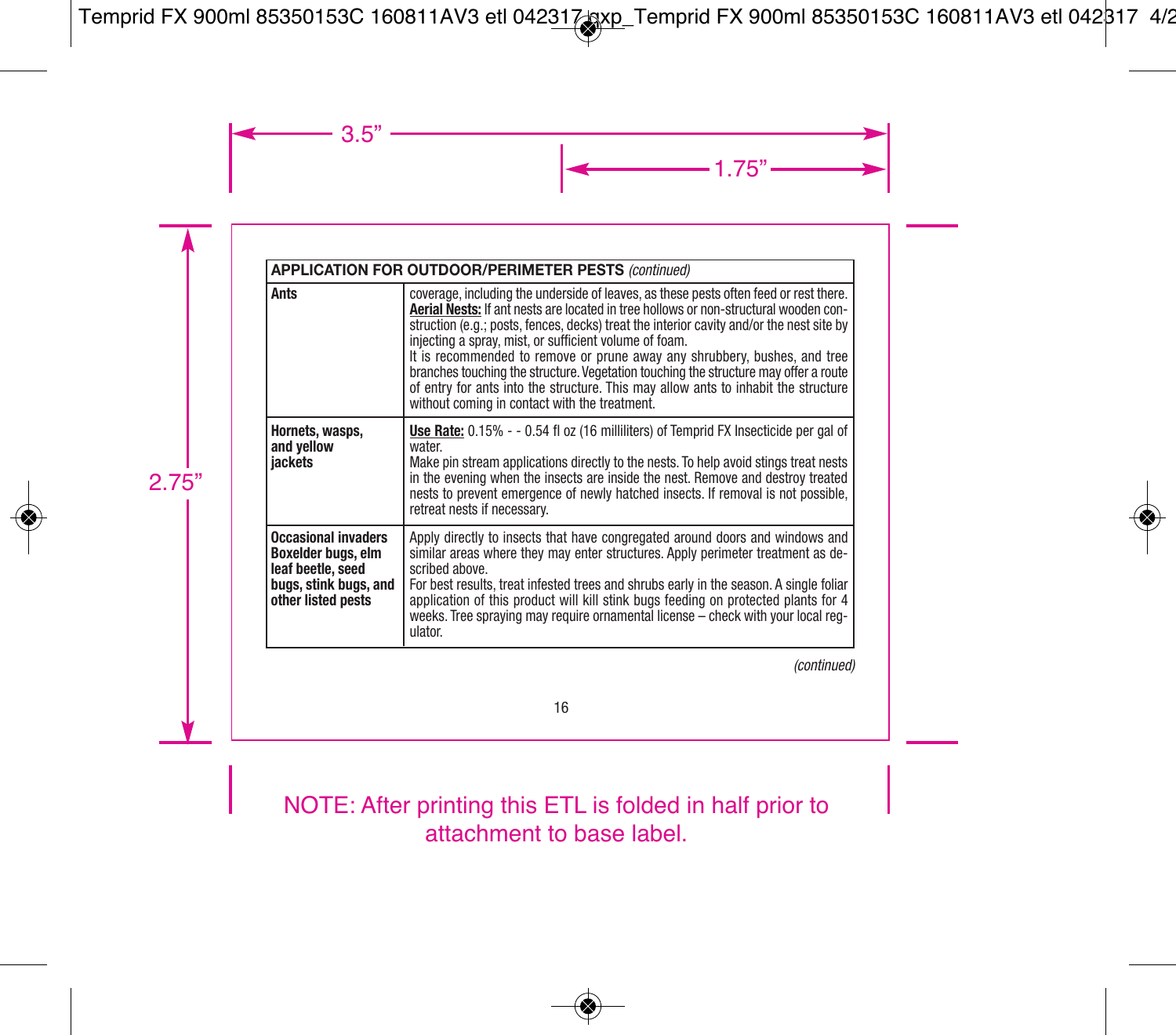|                                                                                                                      | <b>APPLICATION FOR OUTDOOR/PERIMETER PESTS (continued)</b>                                                                                                                                                                                                                                                                                                                                                                                                                                                                                                                                                                                      |
|----------------------------------------------------------------------------------------------------------------------|-------------------------------------------------------------------------------------------------------------------------------------------------------------------------------------------------------------------------------------------------------------------------------------------------------------------------------------------------------------------------------------------------------------------------------------------------------------------------------------------------------------------------------------------------------------------------------------------------------------------------------------------------|
| Ants                                                                                                                 | coverage, including the underside of leaves, as these pests often feed or rest there.<br>Aerial Nests: If ant nests are located in tree hollows or non-structural wooden con-<br>struction (e.g.; posts, fences, decks) treat the interior cavity and/or the nest site by<br>injecting a spray, mist, or sufficient volume of foam.<br>It is recommended to remove or prune away any shrubbery, bushes, and tree<br>branches touching the structure. Vegetation touching the structure may offer a route<br>of entry for ants into the structure. This may allow ants to inhabit the structure<br>without coming in contact with the treatment. |
| Hornets, wasps,<br>and vellow<br>iackets                                                                             | Use Rate: $0.15\% - 0.54$ fl oz (16 milliliters) of Temprid FX Insecticide per gal of<br>water.<br>Make pin stream applications directly to the nests. To help avoid stings treat nests<br>in the evening when the insects are inside the nest. Remove and destroy treated<br>nests to prevent emergence of newly hatched insects. If removal is not possible,<br>retreat nests if necessary.                                                                                                                                                                                                                                                   |
| <b>Occasional invaders</b><br>Boxelder buas, elm<br>leaf beetle, seed<br>buas, stink buas, and<br>other listed pests | Apply directly to insects that have congregated around doors and windows and<br>similar areas where they may enter structures. Apply perimeter treatment as de-<br>scribed above.<br>For best results, treat infested trees and shrubs early in the season. A single foliar<br>application of this product will kill stink bugs feeding on protected plants for 4<br>weeks. Tree spraying may require ornamental license - check with your local reg-<br>ulator.                                                                                                                                                                                |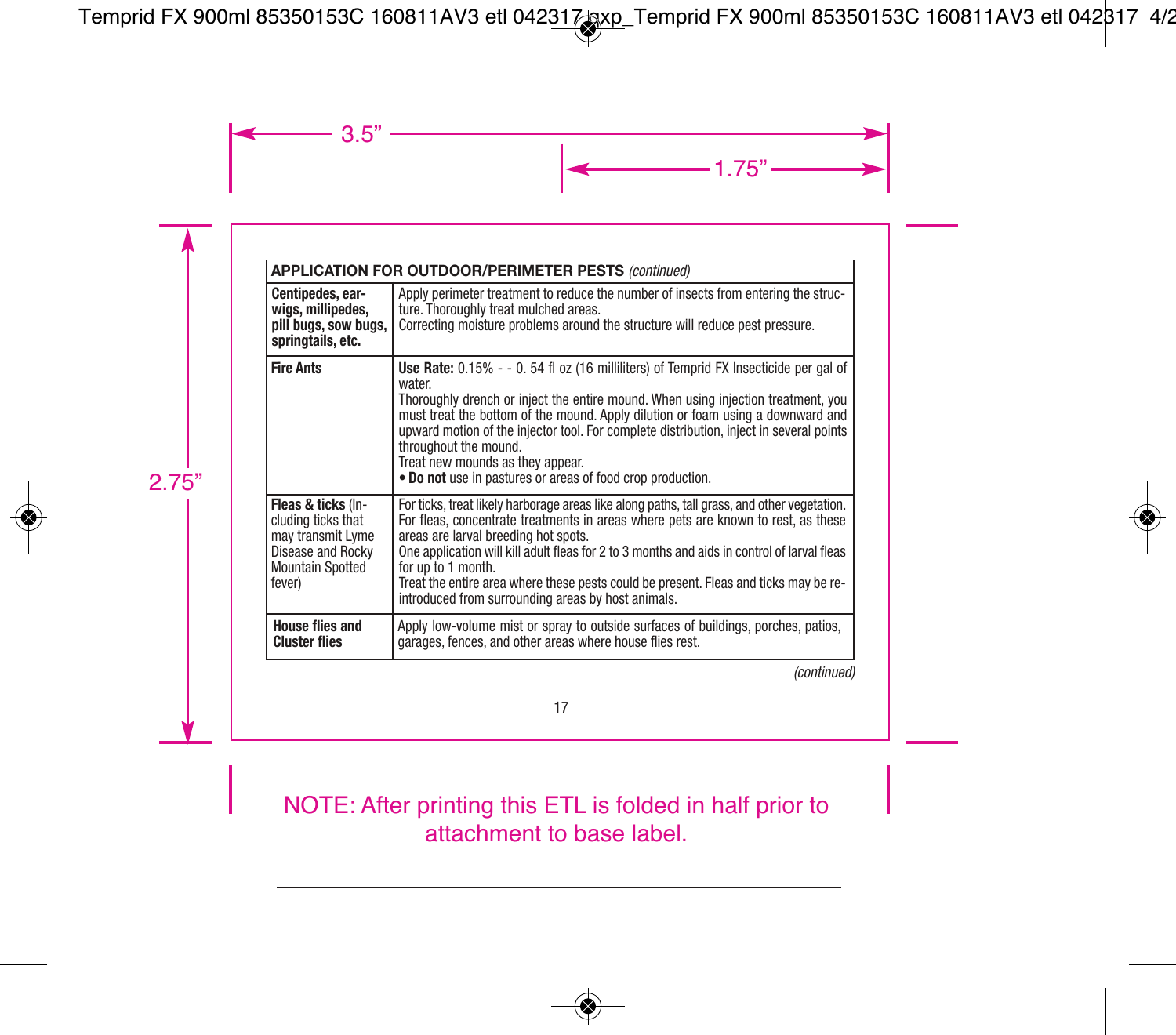|                                                                                                                         | <b>APPLICATION FOR OUTDOOR/PERIMETER PESTS (continued)</b>                                                                                                                                                                                                                                                                                                                                                                                                                                   |
|-------------------------------------------------------------------------------------------------------------------------|----------------------------------------------------------------------------------------------------------------------------------------------------------------------------------------------------------------------------------------------------------------------------------------------------------------------------------------------------------------------------------------------------------------------------------------------------------------------------------------------|
| Centipedes, ear-<br>wigs, millipedes,<br>pill bugs, sow bugs,<br>springtails, etc.                                      | Apply perimeter treatment to reduce the number of insects from entering the struc-<br>ture. Thoroughly treat mulched areas.<br>Correcting moisture problems around the structure will reduce pest pressure.                                                                                                                                                                                                                                                                                  |
| <b>Fire Ants</b>                                                                                                        | Use Rate: 0.15% - - 0.54 fl oz (16 milliliters) of Temprid FX Insecticide per gal of<br>water.<br>Thoroughly drench or inject the entire mound. When using injection treatment, you<br>must treat the bottom of the mound. Apply dilution or foam using a downward and<br>upward motion of the injector tool. For complete distribution, inject in several points<br>throughout the mound.<br>Treat new mounds as they appear.<br>. Do not use in pastures or areas of food crop production. |
| Fleas & ticks (In-<br>cluding ticks that<br>may transmit Lyme<br>Disease and Rocky<br><b>Mountain Spotted</b><br>fever) | For ticks, treat likely harborage areas like along paths, tall grass, and other vegetation.<br>For fleas, concentrate treatments in areas where pets are known to rest, as these<br>areas are larval breeding hot spots.<br>One application will kill adult fleas for 2 to 3 months and aids in control of larval fleas<br>for up to 1 month.<br>Treat the entire area where these pests could be present. Fleas and ticks may be re-<br>introduced from surrounding areas by host animals.  |
| <b>House flies and</b><br><b>Cluster flies</b>                                                                          | Apply low-volume mist or spray to outside surfaces of buildings, porches, patios,<br>garages, fences, and other areas where house flies rest.                                                                                                                                                                                                                                                                                                                                                |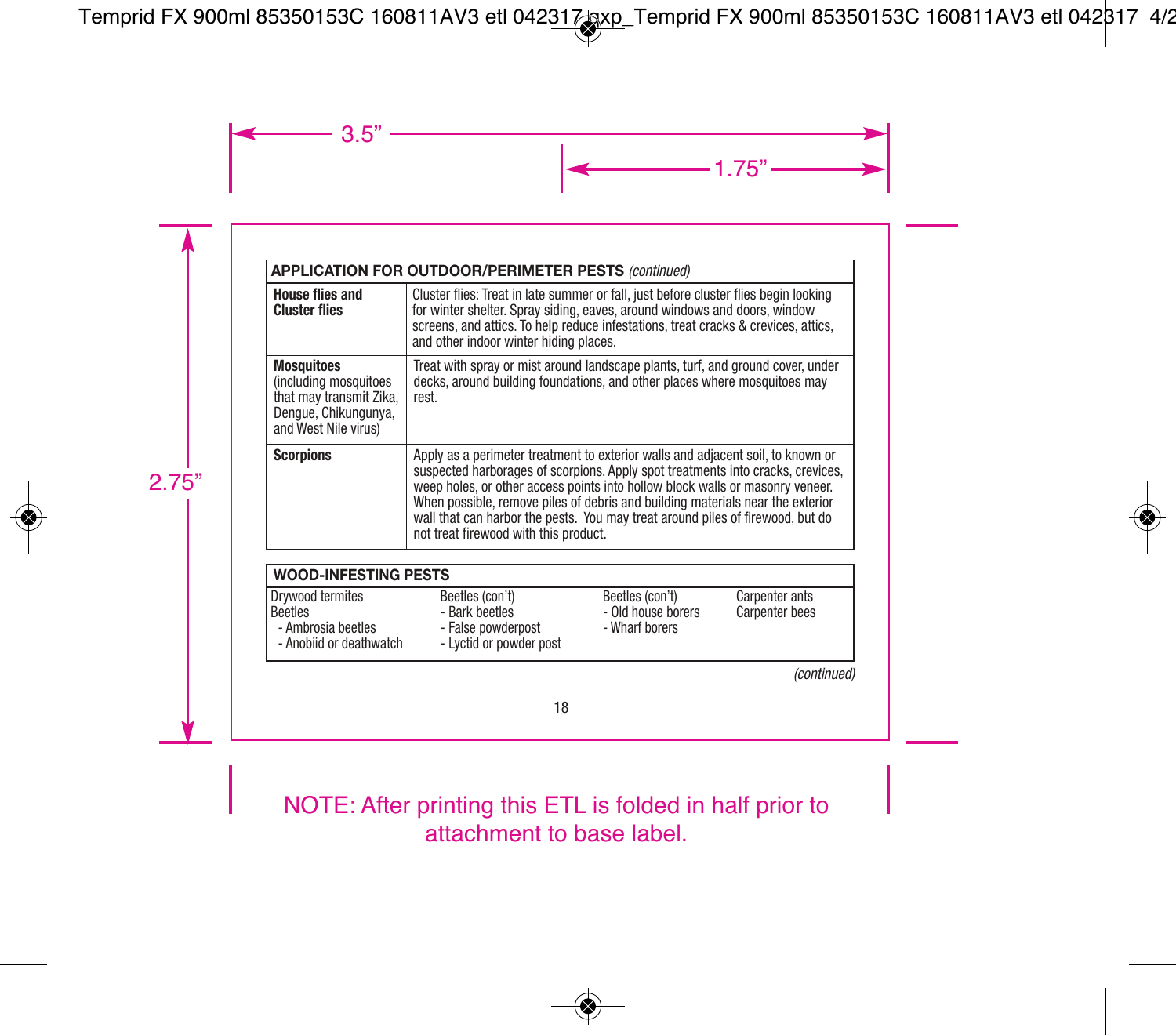|                                                                                                                       | <b>APPLICATION FOR OUTDOOR/PERIMETER PESTS (continued)</b>                                                                                                                                                                                                                                                                                                                                                                                                       |  |  |
|-----------------------------------------------------------------------------------------------------------------------|------------------------------------------------------------------------------------------------------------------------------------------------------------------------------------------------------------------------------------------------------------------------------------------------------------------------------------------------------------------------------------------------------------------------------------------------------------------|--|--|
| <b>House flies and</b><br><b>Cluster flies</b>                                                                        | Cluster flies: Treat in late summer or fall, just before cluster flies begin looking<br>for winter shelter. Spray siding, eaves, around windows and doors, window<br>screens, and attics. To help reduce infestations, treat cracks & crevices, attics,<br>and other indoor winter hiding places.                                                                                                                                                                |  |  |
| <b>Mosquitoes</b><br>(including mosquitoes<br>that may transmit Zika,<br>Denaue, Chikungunya.<br>and West Nile virus) | Treat with spray or mist around landscape plants, turf, and ground cover, under<br>decks, around building foundations, and other places where mosquitoes may<br>rest.                                                                                                                                                                                                                                                                                            |  |  |
| <b>Scorpions</b>                                                                                                      | Apply as a perimeter treatment to exterior walls and adjacent soil, to known or<br>suspected harborages of scorpions. Apply spot treatments into cracks, crevices,<br>weep holes, or other access points into hollow block walls or masonry veneer.<br>When possible, remove piles of debris and building materials near the exterior<br>wall that can harbor the pests. You may treat around piles of firewood, but do<br>not treat firewood with this product. |  |  |

| <b>WOOD-INFESTING PESTS</b>                                                  |                                                                                    |                                                         |                                         |
|------------------------------------------------------------------------------|------------------------------------------------------------------------------------|---------------------------------------------------------|-----------------------------------------|
| Drywood termites<br>Beetles<br>- Ambrosia beetles<br>- Anobiid or deathwatch | Beetles (con't)<br>- Bark beetles<br>- False powderpost<br>- Lyctid or powder post | Beetles (con't)<br>- Old house borers<br>- Wharf borers | Carpenter ants<br><b>Carpenter bees</b> |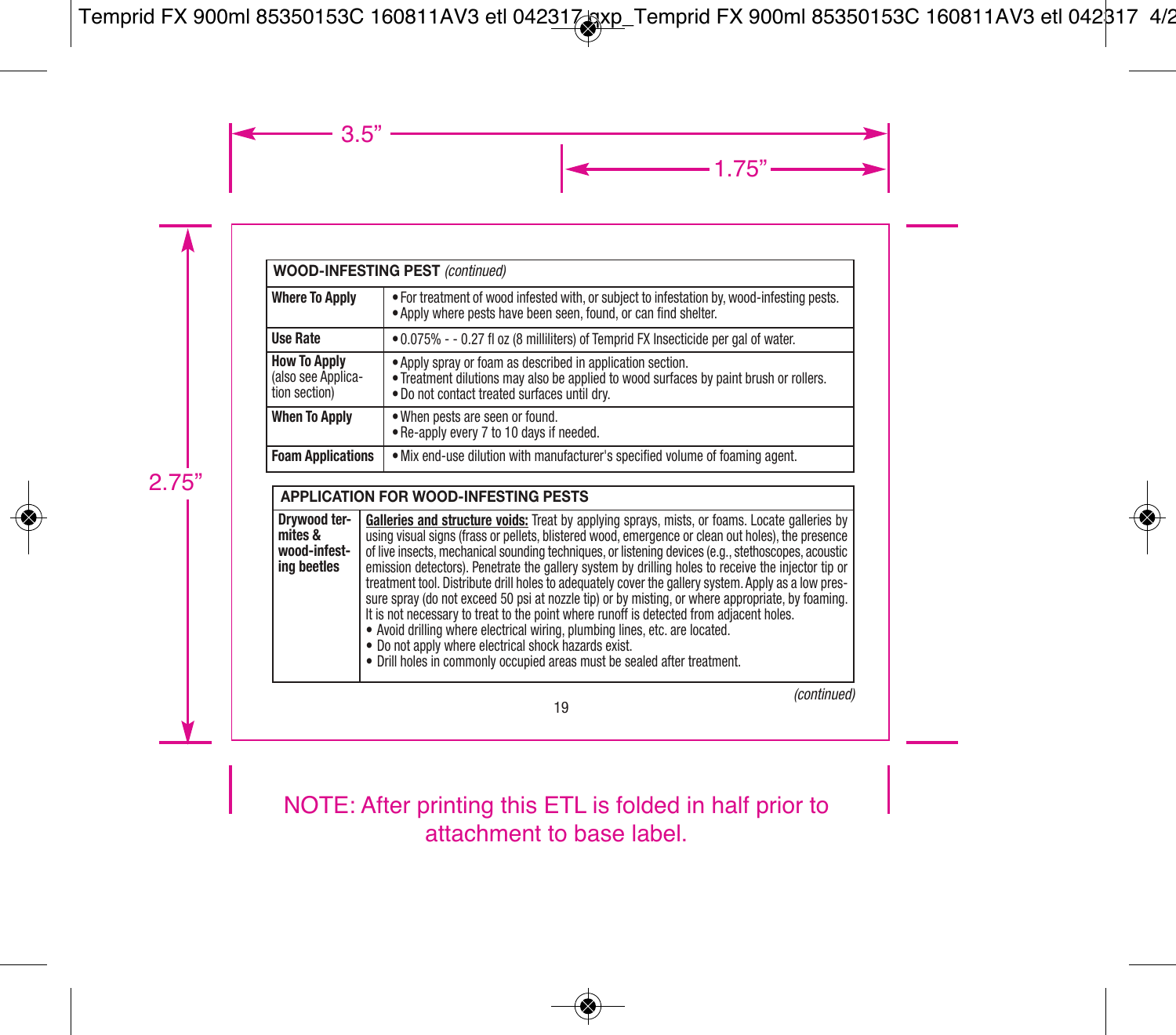| <b>WOOD-INFESTING PEST (continued)</b>                     |                                                                                                                                                                                                     |  |
|------------------------------------------------------------|-----------------------------------------------------------------------------------------------------------------------------------------------------------------------------------------------------|--|
| <b>Where To Apply</b>                                      | • For treatment of wood infested with, or subject to infestation by, wood-infesting pests,<br>. Apply where pests have been seen, found, or can find shelter.                                       |  |
| <b>Use Rate</b>                                            | .0.075% - - 0.27 fl oz (8 milliliters) of Temprid FX Insecticide per gal of water.                                                                                                                  |  |
| <b>How To Apply</b><br>(also see Applica-<br>tion section) | • Apply spray or foam as described in application section.<br>. Treatment dilutions may also be applied to wood surfaces by paint brush or rollers.<br>. Do not contact treated surfaces until dry. |  |
| <b>When To Apply</b>                                       | . When pests are seen or found.<br>. Re-apply every 7 to 10 days if needed.                                                                                                                         |  |
| <b>Foam Applications</b>                                   | . Mix end-use dilution with manufacturer's specified volume of foaming agent.                                                                                                                       |  |

| <b>APPLICATION FOR WOOD-INFESTING PESTS</b>            |                                                                                                                                                                                                                                                                                                                                                                                                                                                                                                                                                                                                                                                                                                                                                                                                                                                                                                                                          |  |
|--------------------------------------------------------|------------------------------------------------------------------------------------------------------------------------------------------------------------------------------------------------------------------------------------------------------------------------------------------------------------------------------------------------------------------------------------------------------------------------------------------------------------------------------------------------------------------------------------------------------------------------------------------------------------------------------------------------------------------------------------------------------------------------------------------------------------------------------------------------------------------------------------------------------------------------------------------------------------------------------------------|--|
| Drvwood ter-<br>mites &<br>wood-infest-<br>ing beetles | Galleries and structure voids: Treat by applying sprays, mists, or foams. Locate galleries by<br>using visual signs (frass or pellets, blistered wood, emergence or clean out holes), the presence<br>of live insects, mechanical sounding techniques, or listening devices (e.g., stethoscopes, acoustic<br>emission detectors). Penetrate the gallery system by drilling holes to receive the injector tip or<br>treatment tool. Distribute drill holes to adequately cover the gallery system. Apply as a low pres-<br>sure spray (do not exceed 50 psi at nozzle tip) or by misting, or where appropriate, by foaming.<br>It is not necessary to treat to the point where runoff is detected from adiacent holes.<br>• Avoid drilling where electrical wiring, plumbing lines, etc. are located.<br>. Do not apply where electrical shock hazards exist.<br>• Drill holes in commonly occupied areas must be sealed after treatment. |  |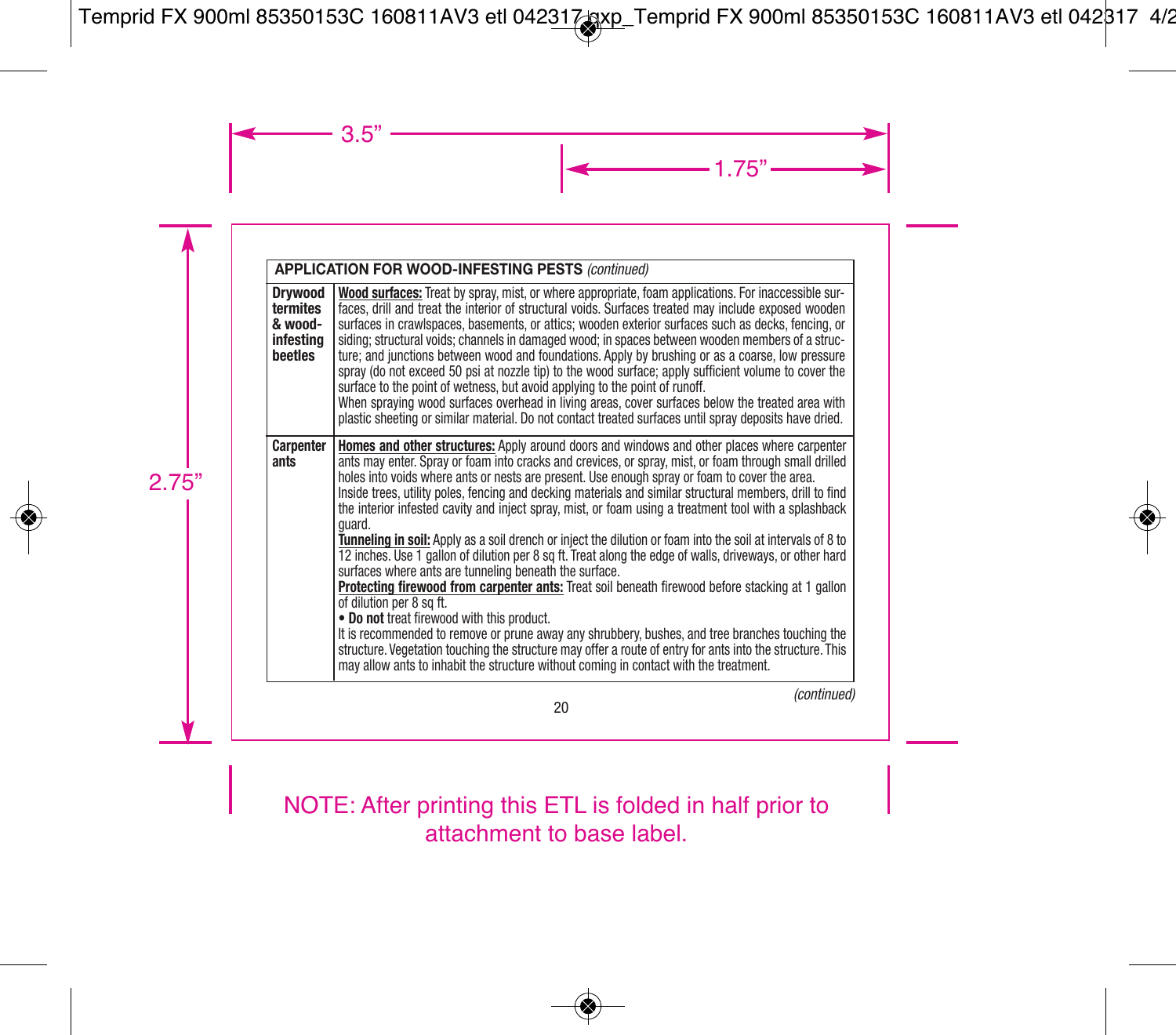| <b>APPLICATION FOR WOOD-INFESTING PESTS (continued)</b>       |                                                                                                                                                                                                                                                                                                                                                                                                                                                                                                                                                                                                                                                                                                                                                                                                                                                                                                                                                                                                                                                                                                                                                                                                                                                                                                                  |  |
|---------------------------------------------------------------|------------------------------------------------------------------------------------------------------------------------------------------------------------------------------------------------------------------------------------------------------------------------------------------------------------------------------------------------------------------------------------------------------------------------------------------------------------------------------------------------------------------------------------------------------------------------------------------------------------------------------------------------------------------------------------------------------------------------------------------------------------------------------------------------------------------------------------------------------------------------------------------------------------------------------------------------------------------------------------------------------------------------------------------------------------------------------------------------------------------------------------------------------------------------------------------------------------------------------------------------------------------------------------------------------------------|--|
| <b>Drywood</b><br>termites<br>& wood-<br>infestina<br>beetles | Wood surfaces: Treat by spray, mist, or where appropriate, foam applications. For inaccessible sur-<br>faces, drill and treat the interior of structural voids. Surfaces treated may include exposed wooden<br>surfaces in crawlspaces, basements, or attics; wooden exterior surfaces such as decks, fencing, or<br>siding; structural voids; channels in damaged wood; in spaces between wooden members of a struc-<br>ture; and junctions between wood and foundations. Apply by brushing or as a coarse, low pressure<br>spray (do not exceed 50 psi at nozzle tip) to the wood surface; apply sufficient volume to cover the<br>surface to the point of wetness, but avoid applying to the point of runoff.<br>When spraying wood surfaces overhead in living areas, cover surfaces below the treated area with<br>plastic sheeting or similar material. Do not contact treated surfaces until spray deposits have dried.                                                                                                                                                                                                                                                                                                                                                                                   |  |
| <b>Carpenter</b><br>ants                                      | Homes and other structures: Apply around doors and windows and other places where carpenter<br>ants may enter. Spray or foam into cracks and crevices, or spray, mist, or foam through small drilled<br>holes into voids where ants or nests are present. Use enough spray or foam to cover the area.<br>Inside trees, utility poles, fencing and decking materials and similar structural members, drill to find<br>the interior infested cavity and inject spray, mist, or foam using a treatment tool with a splashback<br>quard.<br>Tunneling in soil: Apply as a soil drench or inject the dilution or foam into the soil at intervals of 8 to<br>12 inches. Use 1 gallon of dilution per 8 sq ft. Treat along the edge of walls, driveways, or other hard<br>surfaces where ants are tunneling beneath the surface.<br>Protecting firewood from carpenter ants: Treat soil beneath firewood before stacking at 1 gallon<br>of dilution per 8 sq ft.<br>. Do not treat firewood with this product.<br>It is recommended to remove or prune away any shrubbery, bushes, and tree branches touching the<br>structure. Vegetation touching the structure may offer a route of entry for ants into the structure. This<br>may allow ants to inhabit the structure without coming in contact with the treatment. |  |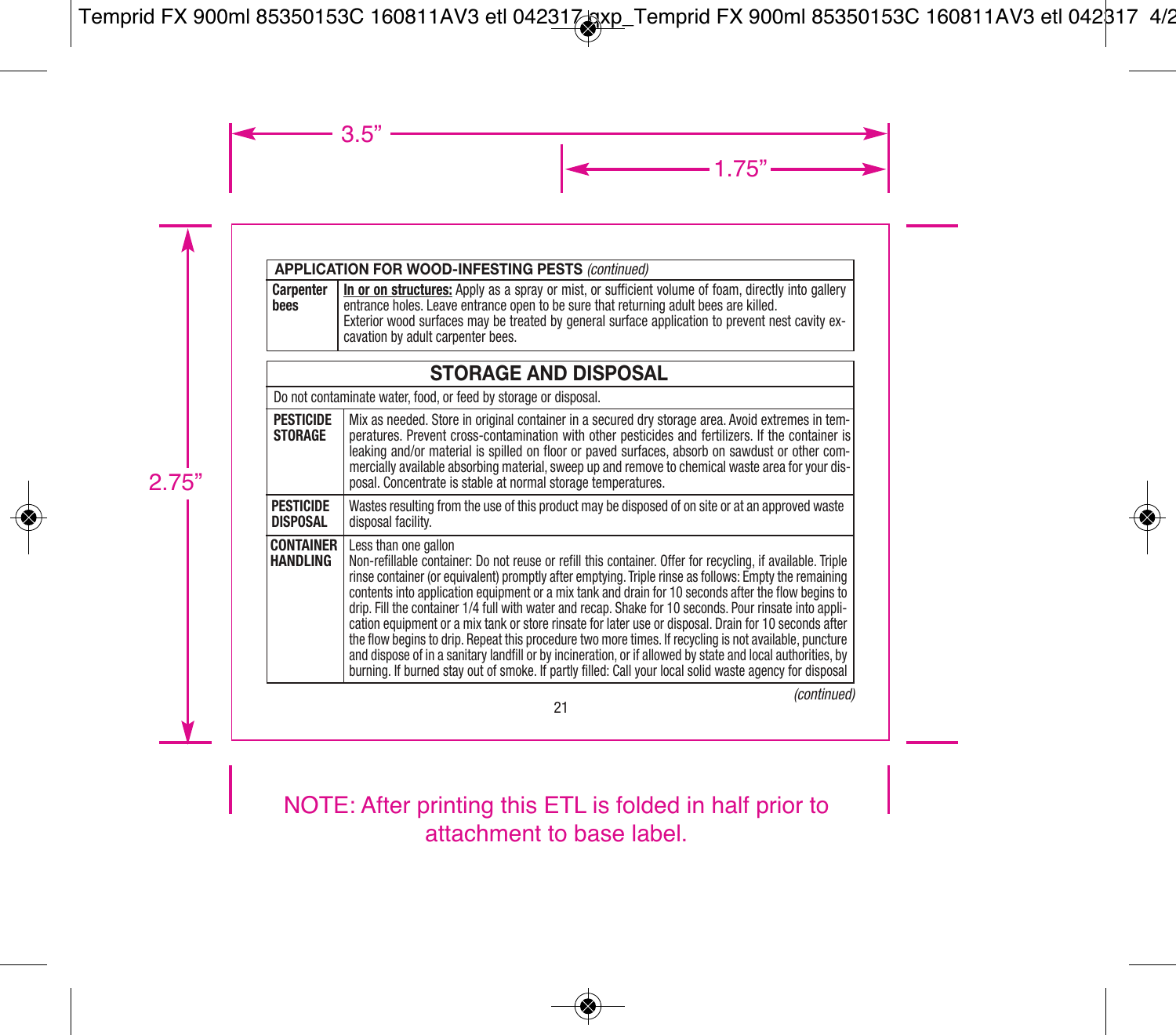#### **APPLICATION FOR WOOD-INFESTING PESTS** *(continued)* **In or on structures:** Apply as a spray or mist, or sufficient volume of foam, directly into gallery entrance holes. Leave entrance open to be sure that returning adult bees are killed. Exterior wood surfaces may be treated by general surface application to prevent nest cavity excavation by adult carpenter bees. **Carpenter bees**

| <b>STORAGE AND DISPOSAL</b>         |                                                                                                                                                                                                                                                                                                                                                                                                                                                                                                                                                                                                                                                                                                                                                                                                                                                                                                          |  |
|-------------------------------------|----------------------------------------------------------------------------------------------------------------------------------------------------------------------------------------------------------------------------------------------------------------------------------------------------------------------------------------------------------------------------------------------------------------------------------------------------------------------------------------------------------------------------------------------------------------------------------------------------------------------------------------------------------------------------------------------------------------------------------------------------------------------------------------------------------------------------------------------------------------------------------------------------------|--|
|                                     | Do not contaminate water, food, or feed by storage or disposal.                                                                                                                                                                                                                                                                                                                                                                                                                                                                                                                                                                                                                                                                                                                                                                                                                                          |  |
| <b>PESTICIDE</b><br><b>STORAGE</b>  | Mix as needed. Store in original container in a secured dry storage area. Avoid extremes in tem-<br>peratures. Prevent cross-contamination with other pesticides and fertilizers. If the container is<br>leaking and/or material is spilled on floor or payed surfaces, absorb on sawdust or other com-<br>mercially available absorbing material, sweep up and remove to chemical waste area for your dis-<br>posal. Concentrate is stable at normal storage temperatures.                                                                                                                                                                                                                                                                                                                                                                                                                              |  |
| <b>PESTICIDE</b><br><b>DISPOSAL</b> | Wastes resulting from the use of this product may be disposed of on site or at an approved waste<br>disposal facility.                                                                                                                                                                                                                                                                                                                                                                                                                                                                                                                                                                                                                                                                                                                                                                                   |  |
| <b>CONTAINER</b><br><b>HANDLING</b> | Less than one gallon<br>Non-refillable container: Do not reuse or refill this container. Offer for recycling, if available. Triple<br>rinse container (or equivalent) promptly after emptying. Triple rinse as follows: Empty the remaining<br>contents into application equipment or a mix tank and drain for 10 seconds after the flow begins to<br>drip. Fill the container 1/4 full with water and recap. Shake for 10 seconds. Pour rinsate into appli-<br>cation equipment or a mix tank or store rinsate for later use or disposal. Drain for 10 seconds after<br>the flow begins to drip. Repeat this procedure two more times. If recycling is not available, puncture<br>and dispose of in a sanitary landfill or by incineration, or if allowed by state and local authorities, by<br>burning. If burned stay out of smoke. If partly filled: Call your local solid waste agency for disposal |  |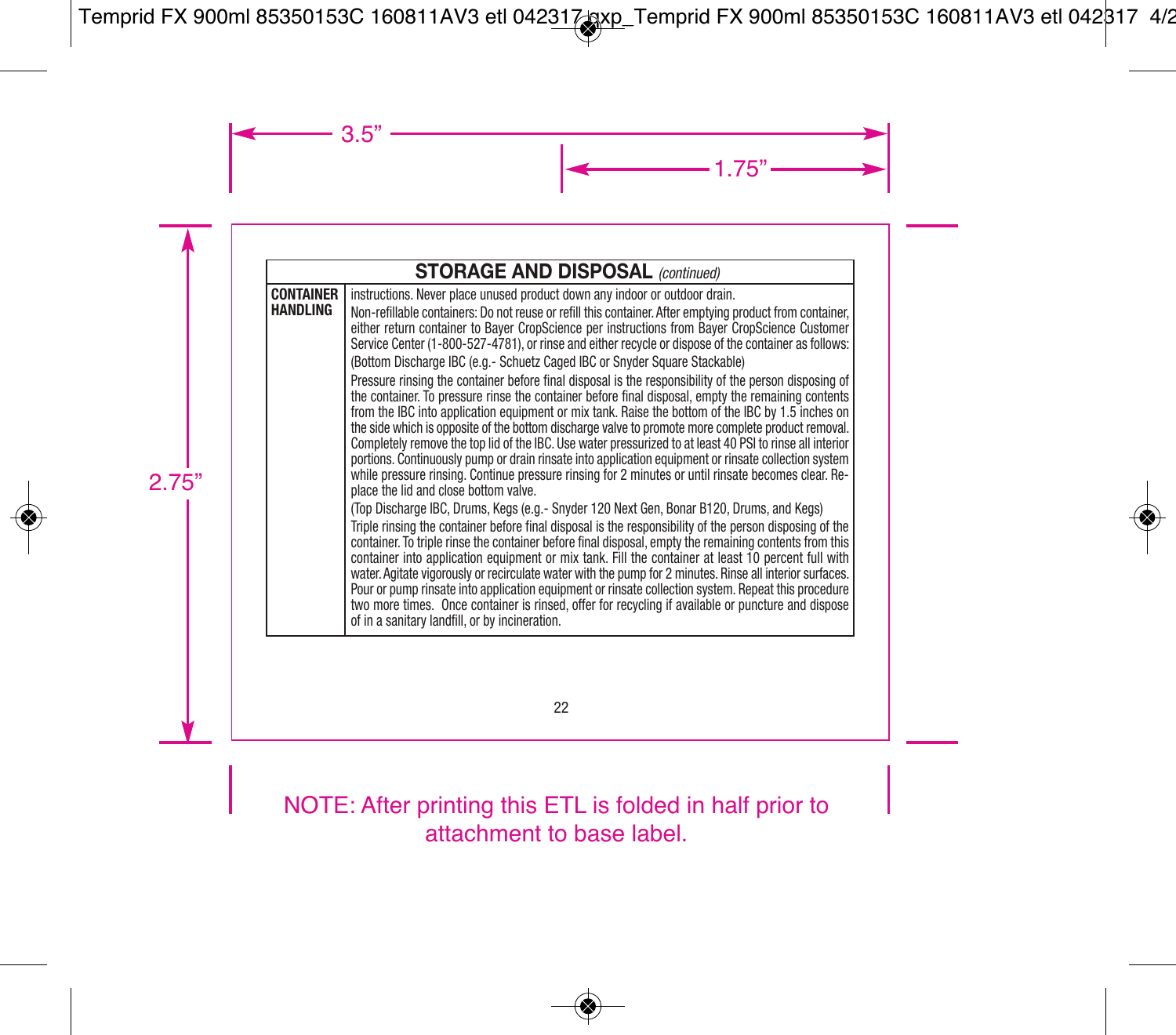|                                     | <b>STORAGE AND DISPOSAL (continued)</b>                                                                                                                                                                                                                                                                                                                                                                                                                                                                                                                                                                                                                                                                                                                                                                                                                                                                                                                                                                                                                                                                                                                                                                                                                                                                                                                                                                                                                                                                                                                                                                                                                                                                                                                                                                                                                                                                                                                                                                                                                                       |  |  |
|-------------------------------------|-------------------------------------------------------------------------------------------------------------------------------------------------------------------------------------------------------------------------------------------------------------------------------------------------------------------------------------------------------------------------------------------------------------------------------------------------------------------------------------------------------------------------------------------------------------------------------------------------------------------------------------------------------------------------------------------------------------------------------------------------------------------------------------------------------------------------------------------------------------------------------------------------------------------------------------------------------------------------------------------------------------------------------------------------------------------------------------------------------------------------------------------------------------------------------------------------------------------------------------------------------------------------------------------------------------------------------------------------------------------------------------------------------------------------------------------------------------------------------------------------------------------------------------------------------------------------------------------------------------------------------------------------------------------------------------------------------------------------------------------------------------------------------------------------------------------------------------------------------------------------------------------------------------------------------------------------------------------------------------------------------------------------------------------------------------------------------|--|--|
| <b>CONTAINER</b><br><b>HANDLING</b> | instructions. Never place unused product down any indoor or outdoor drain.<br>Non-refillable containers: Do not reuse or refill this container. After emptying product from container.<br>either return container to Bayer CropScience per instructions from Bayer CropScience Customer<br>Service Center (1-800-527-4781), or rinse and either recycle or dispose of the container as follows:<br>(Bottom Discharge IBC (e.g.- Schuetz Caged IBC or Snyder Square Stackable)<br>Pressure rinsing the container before final disposal is the responsibility of the person disposing of<br>the container. To pressure rinse the container before final disposal, empty the remaining contents<br>from the IBC into application equipment or mix tank. Raise the bottom of the IBC by 1.5 inches on<br>the side which is opposite of the bottom discharge valve to promote more complete product removal.<br>Completely remove the top lid of the IBC. Use water pressurized to at least 40 PSI to rinse all interior<br>portions. Continuously pump or drain rinsate into application equipment or rinsate collection system<br>while pressure rinsing. Continue pressure rinsing for 2 minutes or until rinsate becomes clear. Re-<br>place the lid and close bottom valve.<br>(Top Discharge IBC, Drums, Kegs (e.g.- Snyder 120 Next Gen, Bonar B120, Drums, and Kegs)<br>Triple rinsing the container before final disposal is the responsibility of the person disposing of the<br>container. To triple rinse the container before final disposal, empty the remaining contents from this<br>container into application equipment or mix tank. Fill the container at least 10 percent full with<br>water. Agitate vigorously or recirculate water with the pump for 2 minutes. Rinse all interior surfaces.<br>Pour or pump rinsate into application equipment or rinsate collection system. Repeat this procedure<br>two more times. Once container is rinsed, offer for recycling if available or puncture and dispose<br>of in a sanitary landfill, or by incineration. |  |  |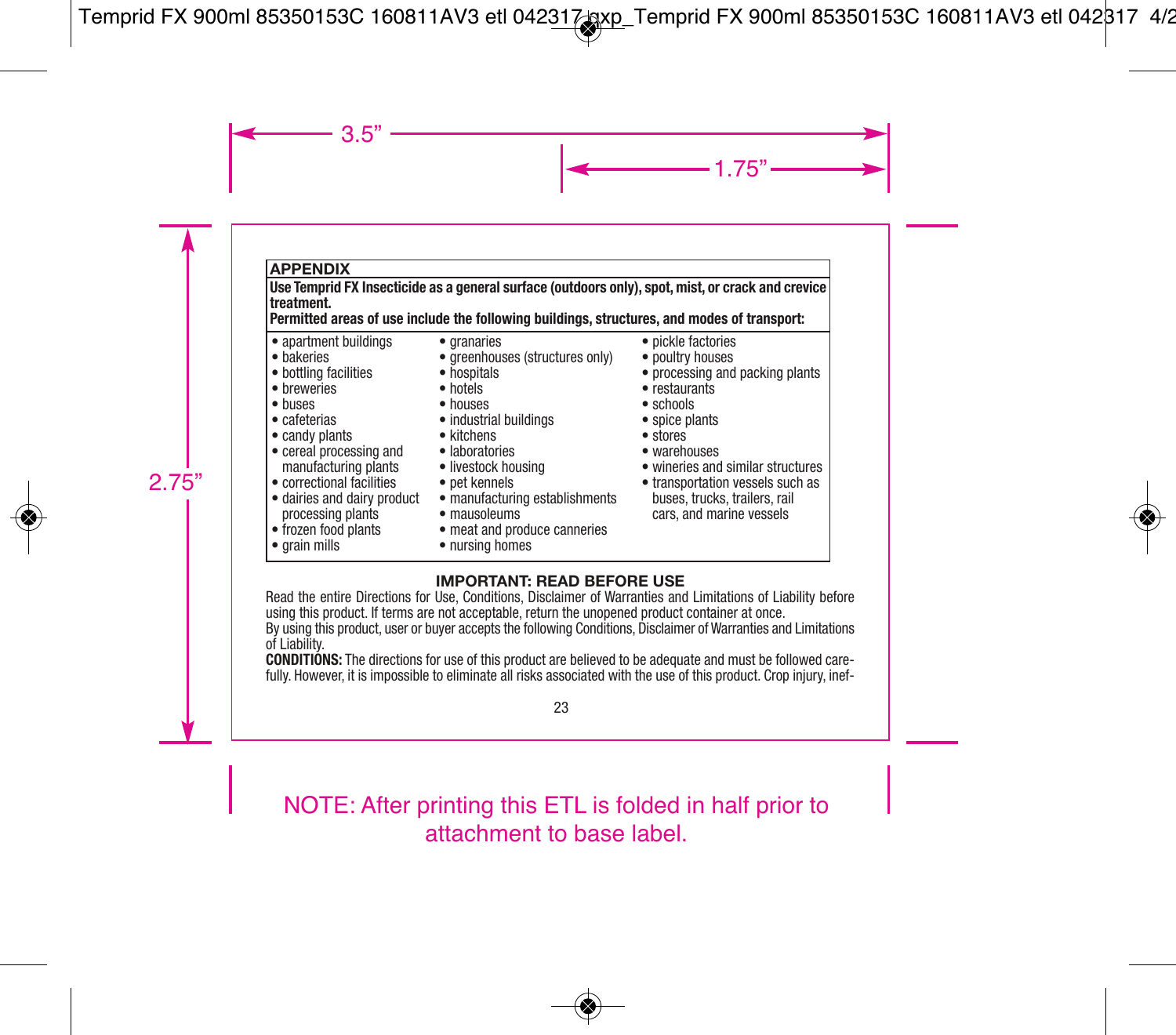### **APPENDIX**

**Use Temprid FX Insecticide as a general surface (outdoors only), spot, mist, or crack and crevice treatment.**

**Permitted areas of use include the following buildings, structures, and modes of transport:**

- apartment buildings
- bakeries
- bottling facilities
- breweries
- buses
- cafeterias
- candy plants
- cereal processing and manufacturing plants
- correctional facilities
- processing plants
- frozen food plants
- grain mills
- granaries
- greenhouses (structures only)
- hospitals
- hotels
- houses
- industrial buildings
	- kitchens
	- laboratories
	- livestock housing
	- pet kennels
- dairies and dairy product manufacturing establishments
	- mausoleums
	- meat and produce canneries
	- nursing homes
- pickle factories
- poultry houses
- processing and packing plants
- restaurants
- schools
- spice plants
- stores
- warehouses
- wineries and similar structures
- transportation vessels such as buses, trucks, trailers, rail cars, and marine vessels

#### **IMPORTANT: READ BEFORE USE**

Read the entire Directions for Use, Conditions, Disclaimer of Warranties and Limitations of Liability before using this product. If terms are not acceptable, return the unopened product container at once.

By using this product, user or buyer accepts the following Conditions, Disclaimer of Warranties and Limitations of Liability.

**CONDITIONS:** The directions for use of this product are believed to be adequate and must be followed carefully. However, it is impossible to eliminate all risks associated with the use of this product. Crop injury, inef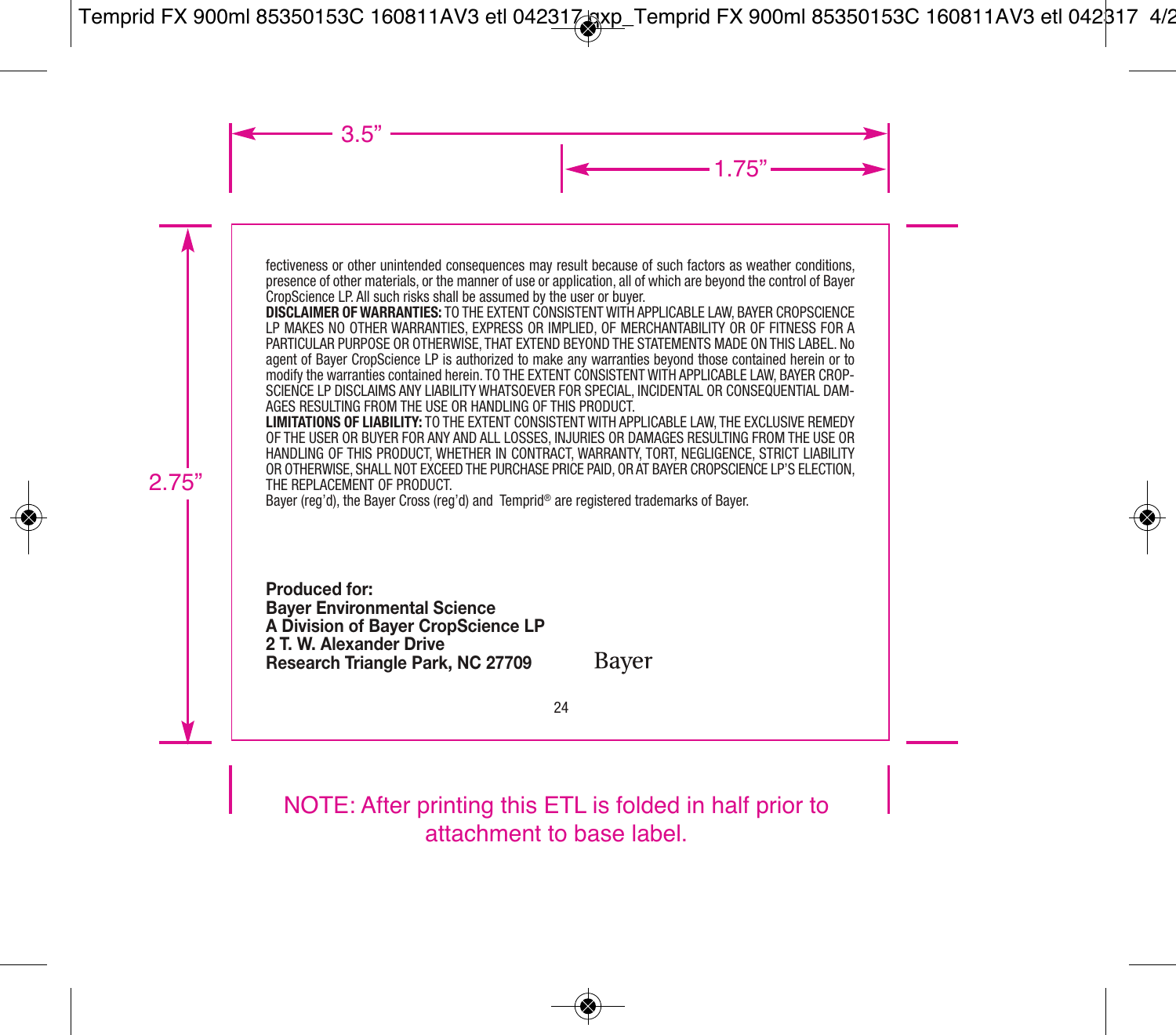fectiveness or other unintended consequences may result because of such factors as weather conditions, presence of other materials, or the manner of use or application, all of which are beyond the control of Bayer CropScience LP. All such risks shall be assumed by the user or buyer.

**DISCLAIMER OF WARRANTIES:** TO THE EXTENT CONSISTENT WITH APPLICABLE LAW, BAYER CROPSCIENCE LP MAKES NO OTHER WARRANTIES, EXPRESS OR IMPLIED, OF MERCHANTABILITY OR OF FITNESS FOR A PARTICULAR PURPOSE OR OTHERWISE, THAT EXTEND BEYOND THE STATEMENTS MADE ON THIS LABEL. No agent of Bayer CropScience LP is authorized to make any warranties beyond those contained herein or to modify the warranties contained herein. TO THE EXTENT CONSISTENT WITH APPLICABLE LAW, BAYER CROP-SCIENCE LP DISCLAIMS ANY LIABILITY WHATSOEVER FOR SPECIAL, INCIDENTAL OR CONSEQUENTIAL DAM-AGES RESULTING FROM THE USE OR HANDLING OF THIS PRODUCT.

**LIMITATIONS OF LIABILITY:** TO THE EXTENT CONSISTENT WITH APPLICABLE LAW, THE EXCLUSIVE REMEDY OF THE USER OR BUYER FOR ANY AND ALL LOSSES, INJURIES OR DAMAGES RESULTING FROM THE USE OR HANDLING OF THIS PRODUCT, WHETHER IN CONTRACT, WARRANTY, TORT, NEGLIGENCE, STRICT LIABILITY OR OTHERWISE, SHALL NOT EXCEED THE PURCHASE PRICE PAID, OR AT BAYER CROPSCIENCE LP'S ELECTION, THE REPLACEMENT OF PRODUCT.

Bayer (reg'd), the Bayer Cross (reg'd) and Temprid® are registered trademarks of Bayer.

**Produced for: Bayer Environmental Science A Division of Bayer CropScience LP 2 T. W. Alexander Drive Research Triangle Park, NC 27709**

Bayer